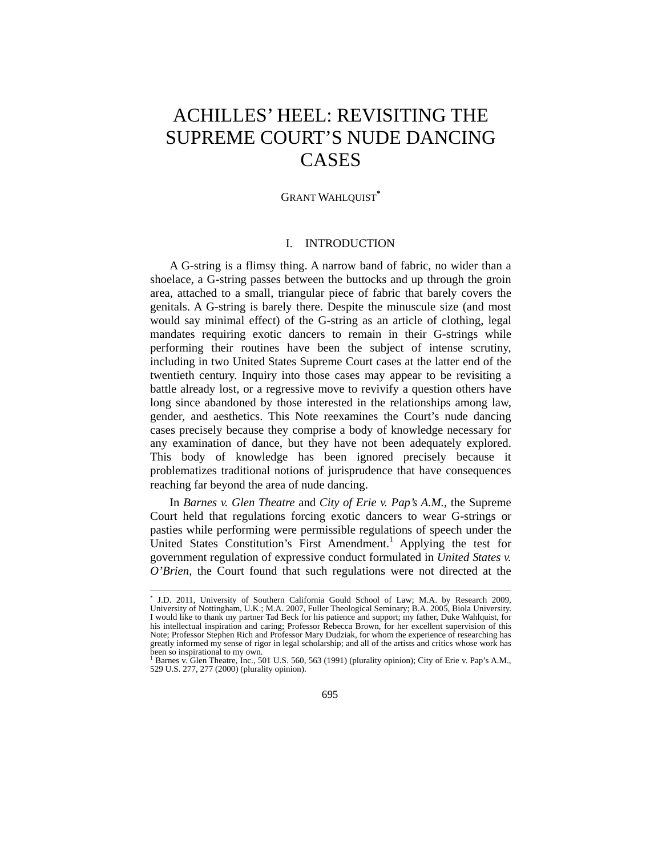# ACHILLES' HEEL: REVISITING THE SUPREME COURT'S NUDE DANCING CASES

GRANT WAHLQUIST**\***

## I. INTRODUCTION

A G-string is a flimsy thing. A narrow band of fabric, no wider than a shoelace, a G-string passes between the buttocks and up through the groin area, attached to a small, triangular piece of fabric that barely covers the genitals. A G-string is barely there. Despite the minuscule size (and most would say minimal effect) of the G-string as an article of clothing, legal mandates requiring exotic dancers to remain in their G-strings while performing their routines have been the subject of intense scrutiny, including in two United States Supreme Court cases at the latter end of the twentieth century. Inquiry into those cases may appear to be revisiting a battle already lost, or a regressive move to revivify a question others have long since abandoned by those interested in the relationships among law, gender, and aesthetics. This Note reexamines the Court's nude dancing cases precisely because they comprise a body of knowledge necessary for any examination of dance, but they have not been adequately explored. This body of knowledge has been ignored precisely because it problematizes traditional notions of jurisprudence that have consequences reaching far beyond the area of nude dancing.

In *Barnes v. Glen Theatre* and *City of Erie v. Pap's A.M.*, the Supreme Court held that regulations forcing exotic dancers to wear G-strings or pasties while performing were permissible regulations of speech under the United States Constitution's First Amendment.<sup>1</sup> Applying the test for government regulation of expressive conduct formulated in *United States v. O'Brien*, the Court found that such regulations were not directed at the

 <sup>\*</sup> J.D. 2011, University of Southern California Gould School of Law; M.A. by Research 2009, University of Nottingham, U.K.; M.A. 2007, Fuller Theological Seminary; B.A. 2005, Biola University. I would like to thank my partner Tad Beck for his patience and support; my father, Duke Wahlquist, for his intellectual inspiration and caring; Professor Rebecca Brown, for her excellent supervision of this Note; Professor Stephen Rich and Professor Mary Dudziak, for whom the experience of researching has greatly informed my sense of rigor in legal scholarship; and all of the artists and critics whose work has been so inspirational to my own.

Barnes v. Glen Theatre, Inc., 501 U.S. 560, 563 (1991) (plurality opinion); City of Erie v. Pap's A.M., 529 U.S. 277, 277 (2000) (plurality opinion).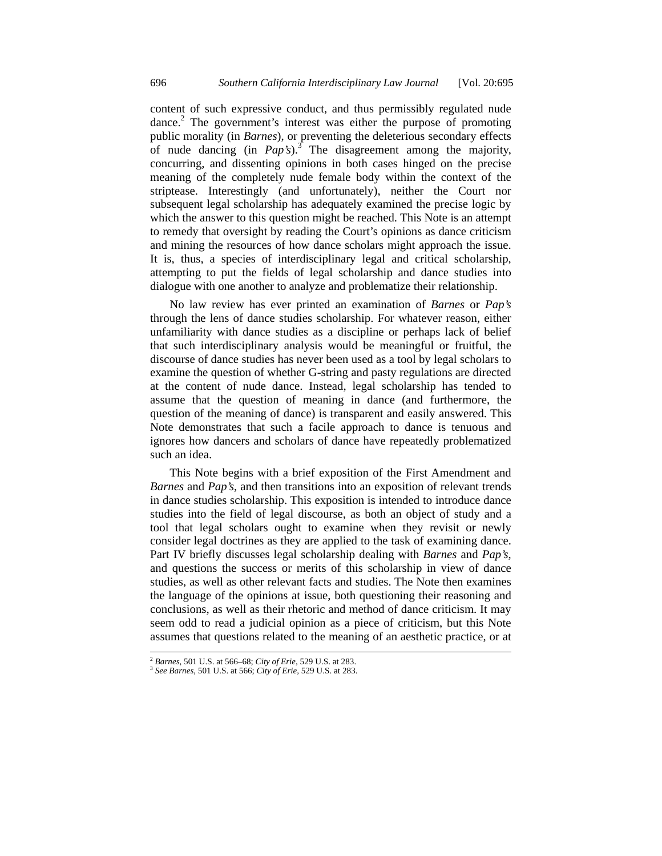content of such expressive conduct, and thus permissibly regulated nude dance.<sup>2</sup> The government's interest was either the purpose of promoting public morality (in *Barnes*), or preventing the deleterious secondary effects of nude dancing (in *Pap's*).<sup>3</sup> The disagreement among the majority, concurring, and dissenting opinions in both cases hinged on the precise meaning of the completely nude female body within the context of the striptease. Interestingly (and unfortunately), neither the Court nor subsequent legal scholarship has adequately examined the precise logic by which the answer to this question might be reached. This Note is an attempt to remedy that oversight by reading the Court's opinions as dance criticism and mining the resources of how dance scholars might approach the issue. It is, thus, a species of interdisciplinary legal and critical scholarship, attempting to put the fields of legal scholarship and dance studies into dialogue with one another to analyze and problematize their relationship.

No law review has ever printed an examination of *Barnes* or *Pap's* through the lens of dance studies scholarship. For whatever reason, either unfamiliarity with dance studies as a discipline or perhaps lack of belief that such interdisciplinary analysis would be meaningful or fruitful, the discourse of dance studies has never been used as a tool by legal scholars to examine the question of whether G-string and pasty regulations are directed at the content of nude dance. Instead, legal scholarship has tended to assume that the question of meaning in dance (and furthermore, the question of the meaning of dance) is transparent and easily answered. This Note demonstrates that such a facile approach to dance is tenuous and ignores how dancers and scholars of dance have repeatedly problematized such an idea.

This Note begins with a brief exposition of the First Amendment and *Barnes* and *Pap's*, and then transitions into an exposition of relevant trends in dance studies scholarship. This exposition is intended to introduce dance studies into the field of legal discourse, as both an object of study and a tool that legal scholars ought to examine when they revisit or newly consider legal doctrines as they are applied to the task of examining dance. Part IV briefly discusses legal scholarship dealing with *Barnes* and *Pap's*, and questions the success or merits of this scholarship in view of dance studies, as well as other relevant facts and studies. The Note then examines the language of the opinions at issue, both questioning their reasoning and conclusions, as well as their rhetoric and method of dance criticism. It may seem odd to read a judicial opinion as a piece of criticism, but this Note assumes that questions related to the meaning of an aesthetic practice, or at

<sup>2</sup> *Barnes*, 501 U.S. at 566–68; *City of Erie*, 529 U.S. at 283. 3 *See Barnes*, 501 U.S. at 566; *City of Erie*, 529 U.S. at 283.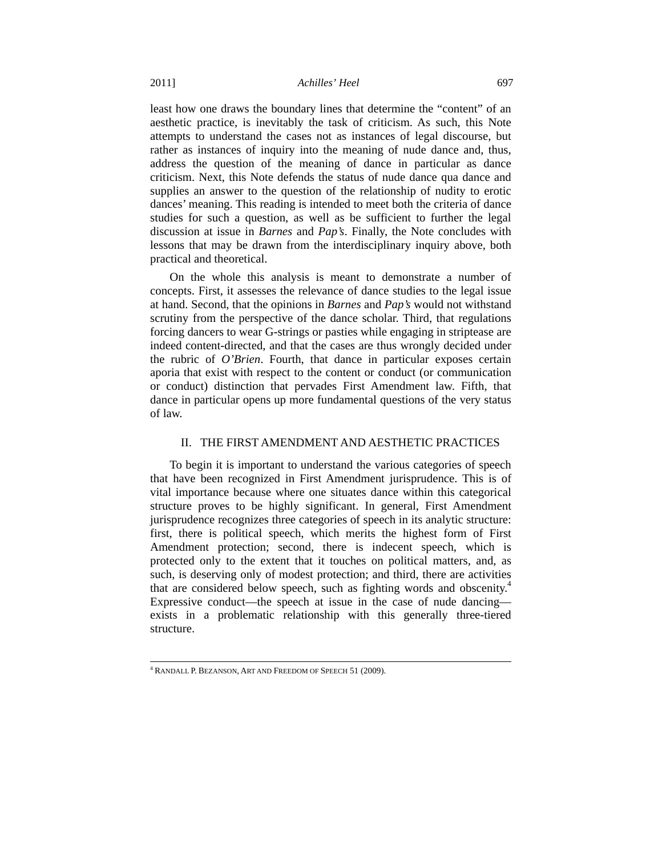least how one draws the boundary lines that determine the "content" of an aesthetic practice, is inevitably the task of criticism. As such, this Note attempts to understand the cases not as instances of legal discourse, but rather as instances of inquiry into the meaning of nude dance and, thus, address the question of the meaning of dance in particular as dance criticism. Next, this Note defends the status of nude dance qua dance and supplies an answer to the question of the relationship of nudity to erotic dances' meaning. This reading is intended to meet both the criteria of dance studies for such a question, as well as be sufficient to further the legal discussion at issue in *Barnes* and *Pap's*. Finally, the Note concludes with lessons that may be drawn from the interdisciplinary inquiry above, both practical and theoretical.

On the whole this analysis is meant to demonstrate a number of concepts. First, it assesses the relevance of dance studies to the legal issue at hand. Second, that the opinions in *Barnes* and *Pap's* would not withstand scrutiny from the perspective of the dance scholar. Third, that regulations forcing dancers to wear G-strings or pasties while engaging in striptease are indeed content-directed, and that the cases are thus wrongly decided under the rubric of *O'Brien*. Fourth, that dance in particular exposes certain aporia that exist with respect to the content or conduct (or communication or conduct) distinction that pervades First Amendment law. Fifth, that dance in particular opens up more fundamental questions of the very status of law.

## II. THE FIRST AMENDMENT AND AESTHETIC PRACTICES

To begin it is important to understand the various categories of speech that have been recognized in First Amendment jurisprudence. This is of vital importance because where one situates dance within this categorical structure proves to be highly significant. In general, First Amendment jurisprudence recognizes three categories of speech in its analytic structure: first, there is political speech, which merits the highest form of First Amendment protection; second, there is indecent speech, which is protected only to the extent that it touches on political matters, and, as such, is deserving only of modest protection; and third, there are activities that are considered below speech, such as fighting words and obscenity.<sup>4</sup> Expressive conduct—the speech at issue in the case of nude dancing exists in a problematic relationship with this generally three-tiered structure.

 <sup>4</sup> RANDALL P. BEZANSON, ART AND FREEDOM OF SPEECH 51 (2009).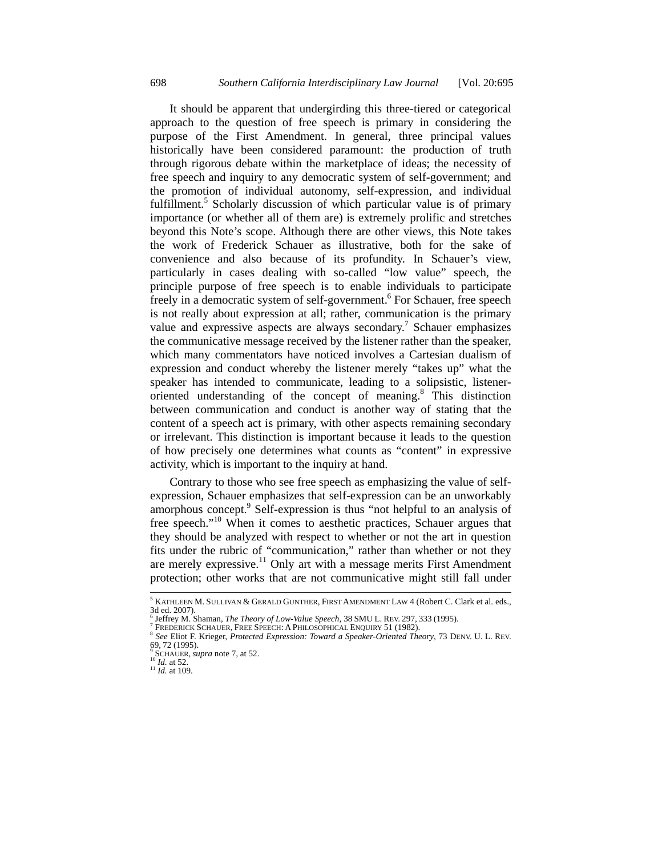It should be apparent that undergirding this three-tiered or categorical approach to the question of free speech is primary in considering the purpose of the First Amendment. In general, three principal values historically have been considered paramount: the production of truth through rigorous debate within the marketplace of ideas; the necessity of free speech and inquiry to any democratic system of self-government; and the promotion of individual autonomy, self-expression, and individual fulfillment.<sup>5</sup> Scholarly discussion of which particular value is of primary importance (or whether all of them are) is extremely prolific and stretches beyond this Note's scope. Although there are other views, this Note takes the work of Frederick Schauer as illustrative, both for the sake of convenience and also because of its profundity. In Schauer's view, particularly in cases dealing with so-called "low value" speech, the principle purpose of free speech is to enable individuals to participate freely in a democratic system of self-government.<sup>6</sup> For Schauer, free speech is not really about expression at all; rather, communication is the primary value and expressive aspects are always secondary.<sup>7</sup> Schauer emphasizes the communicative message received by the listener rather than the speaker, which many commentators have noticed involves a Cartesian dualism of expression and conduct whereby the listener merely "takes up" what the speaker has intended to communicate, leading to a solipsistic, listeneroriented understanding of the concept of meaning.8 This distinction between communication and conduct is another way of stating that the content of a speech act is primary, with other aspects remaining secondary or irrelevant. This distinction is important because it leads to the question of how precisely one determines what counts as "content" in expressive activity, which is important to the inquiry at hand.

Contrary to those who see free speech as emphasizing the value of selfexpression, Schauer emphasizes that self-expression can be an unworkably amorphous concept.<sup>9</sup> Self-expression is thus "not helpful to an analysis of free speech."<sup>10</sup> When it comes to aesthetic practices, Schauer argues that they should be analyzed with respect to whether or not the art in question fits under the rubric of "communication," rather than whether or not they are merely expressive.<sup>11</sup> Only art with a message merits First Amendment protection; other works that are not communicative might still fall under

 <sup>5</sup>  $^5$  KATHLEEN M. SULLIVAN & GERALD GUNTHER, FIRST AMENDMENT LAW 4 (Robert C. Clark et al. eds., 3d ed. 2007).<br><sup>6</sup> Jeffrey M. Shaman, *The Theory of Low-Value Speech*, 38 SMU L. REV. 297, 333 (1995).<br><sup>7</sup> FREDERICK SCHAUER, FREE SPEECH, A PHILOSOBHOAL ENOURY 51 (1982).

<sup>&</sup>lt;sup>7</sup> FREDERICK SCHAUER, FREE SPEECH: A PHILOSOPHICAL ENQUIRY 51 (1982).<br><sup>8</sup> *See* Eliot F. Krieger, *Protected Expression: Toward a Speaker-Oriented Theory*, 73 DENV. U. L. REV. 69, 72 (1995).

<sup>&</sup>lt;sup>9</sup> SCHAUER, *supra* note 7, at 52.<br><sup>10</sup> *Id.* at 52.<br><sup>11</sup> *Id.* at 109.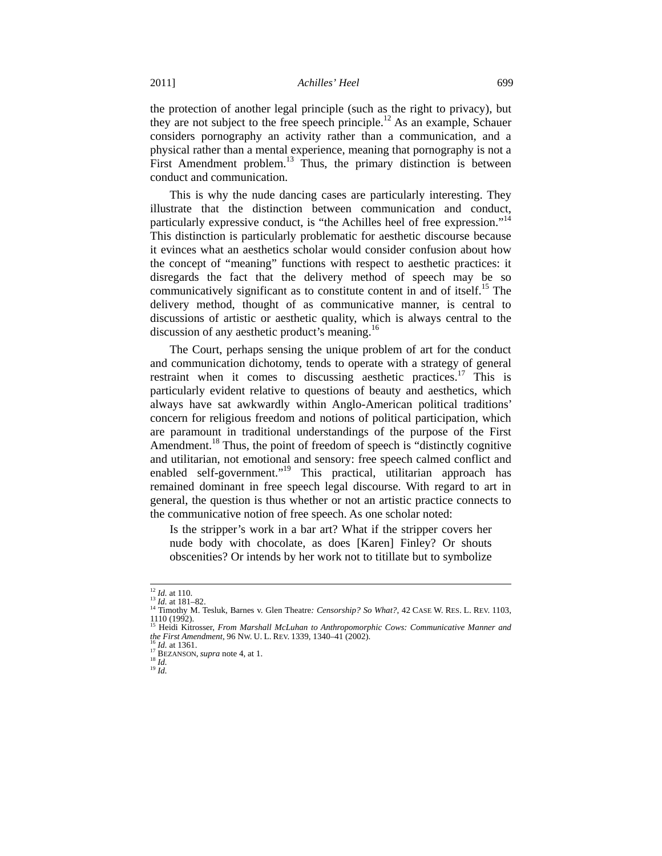the protection of another legal principle (such as the right to privacy), but they are not subject to the free speech principle.<sup>12</sup> As an example, Schauer considers pornography an activity rather than a communication, and a physical rather than a mental experience, meaning that pornography is not a First Amendment problem.<sup>13</sup> Thus, the primary distinction is between conduct and communication.

This is why the nude dancing cases are particularly interesting. They illustrate that the distinction between communication and conduct, particularly expressive conduct, is "the Achilles heel of free expression."14 This distinction is particularly problematic for aesthetic discourse because it evinces what an aesthetics scholar would consider confusion about how the concept of "meaning" functions with respect to aesthetic practices: it disregards the fact that the delivery method of speech may be so communicatively significant as to constitute content in and of itself.<sup>15</sup> The delivery method, thought of as communicative manner, is central to discussions of artistic or aesthetic quality, which is always central to the discussion of any aesthetic product's meaning.<sup>16</sup>

The Court, perhaps sensing the unique problem of art for the conduct and communication dichotomy, tends to operate with a strategy of general restraint when it comes to discussing aesthetic practices.<sup>17</sup> This is particularly evident relative to questions of beauty and aesthetics, which always have sat awkwardly within Anglo-American political traditions' concern for religious freedom and notions of political participation, which are paramount in traditional understandings of the purpose of the First Amendment.<sup>18</sup> Thus, the point of freedom of speech is "distinctly cognitive" and utilitarian, not emotional and sensory: free speech calmed conflict and enabled self-government."<sup>19</sup> This practical, utilitarian approach has remained dominant in free speech legal discourse. With regard to art in general, the question is thus whether or not an artistic practice connects to the communicative notion of free speech. As one scholar noted:

Is the stripper's work in a bar art? What if the stripper covers her nude body with chocolate, as does [Karen] Finley? Or shouts obscenities? Or intends by her work not to titillate but to symbolize

<sup>&</sup>lt;sup>12</sup> *Id.* at 110.<br><sup>13</sup> *Id.* at 181–82.<br><sup>14</sup> Timothy M. Tesluk, Barnes v. Glen Theatre*: Censorship? So What?*, 42 CASE W. RES. L. REV. 1103,<br>1110 (1992). 1110 (1992).<br><sup>15</sup> Heidi Kitrosser, *From Marshall McLuhan to Anthropomorphic Cows: Communicative Manner and*<br>15 Heidi Kitrosser, *From Marshall McLuhan to Anthropomorphic Cows: Communicative Manner and* 

*the First Amendment*, 96 Nw. U. L. REV. 1339, 1340–41 (2002).<br><sup>16</sup> *Id.* at 1361.<br><sup>17</sup> BEZANSON, *supra* note 4, at 1.<br><sup>18</sup> *Id.* 19 *Id*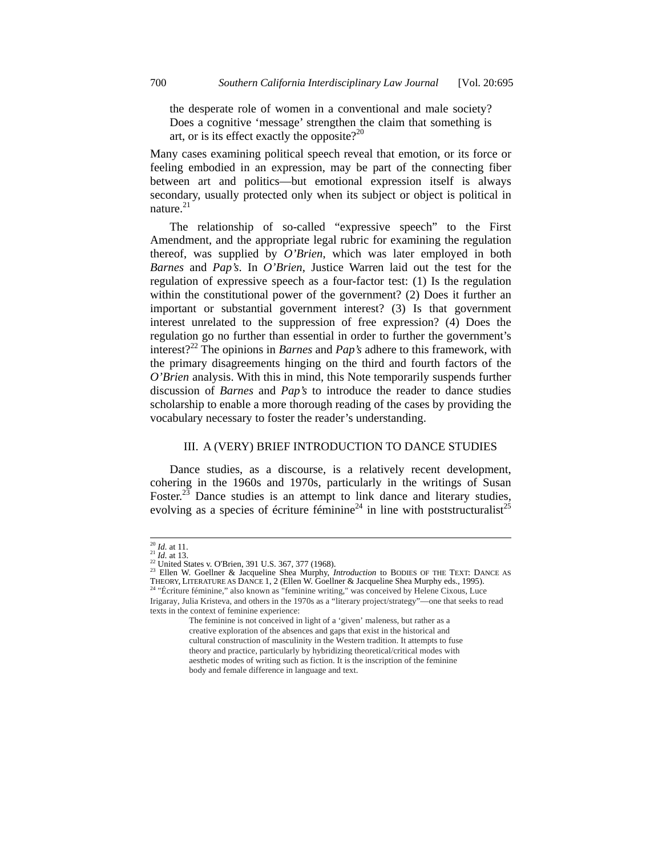the desperate role of women in a conventional and male society? Does a cognitive 'message' strengthen the claim that something is art, or is its effect exactly the opposite? $2^{20}$ 

Many cases examining political speech reveal that emotion, or its force or feeling embodied in an expression, may be part of the connecting fiber between art and politics—but emotional expression itself is always secondary, usually protected only when its subject or object is political in nature. $21$ 

The relationship of so-called "expressive speech" to the First Amendment, and the appropriate legal rubric for examining the regulation thereof, was supplied by *O'Brien*, which was later employed in both *Barnes* and *Pap's*. In *O'Brien*, Justice Warren laid out the test for the regulation of expressive speech as a four-factor test: (1) Is the regulation within the constitutional power of the government? (2) Does it further an important or substantial government interest? (3) Is that government interest unrelated to the suppression of free expression? (4) Does the regulation go no further than essential in order to further the government's interest?22 The opinions in *Barnes* and *Pap's* adhere to this framework, with the primary disagreements hinging on the third and fourth factors of the *O'Brien* analysis. With this in mind, this Note temporarily suspends further discussion of *Barnes* and *Pap's* to introduce the reader to dance studies scholarship to enable a more thorough reading of the cases by providing the vocabulary necessary to foster the reader's understanding.

## III. A (VERY) BRIEF INTRODUCTION TO DANCE STUDIES

Dance studies, as a discourse, is a relatively recent development, cohering in the 1960s and 1970s, particularly in the writings of Susan Foster.<sup>23</sup> Dance studies is an attempt to link dance and literary studies, evolving as a species of écriture féminine<sup>24</sup> in line with poststructuralist<sup>25</sup>

body and female difference in language and text.

<sup>&</sup>lt;sup>20</sup> *Id.* at 11.<br><sup>21</sup> *Id.* at 13.<br><sup>22</sup> United States v. O'Brien, 391 U.S. 367, 377 (1968).<br><sup>23</sup> Ellen W. Goellner & Jacqueline Shea Murphy, *Introduction* to BODIES OF THE TEXT: DANCE AS THEORY, LITERATURE AS DANCE 1, 2 (Ellen W. Goellner & Jacqueline Shea Murphy eds., 1995). 24 "Écriture féminine," also known as "feminine writing," was conceived by Helene Cixous, Luce Irigaray, Julia Kristeva, and others in the 1970s as a "literary project/strategy"—one that seeks to read

texts in the context of feminine experience: The feminine is not conceived in light of a 'given' maleness, but rather as a creative exploration of the absences and gaps that exist in the historical and cultural construction of masculinity in the Western tradition. It attempts to fuse theory and practice, particularly by hybridizing theoretical/critical modes with aesthetic modes of writing such as fiction. It is the inscription of the feminine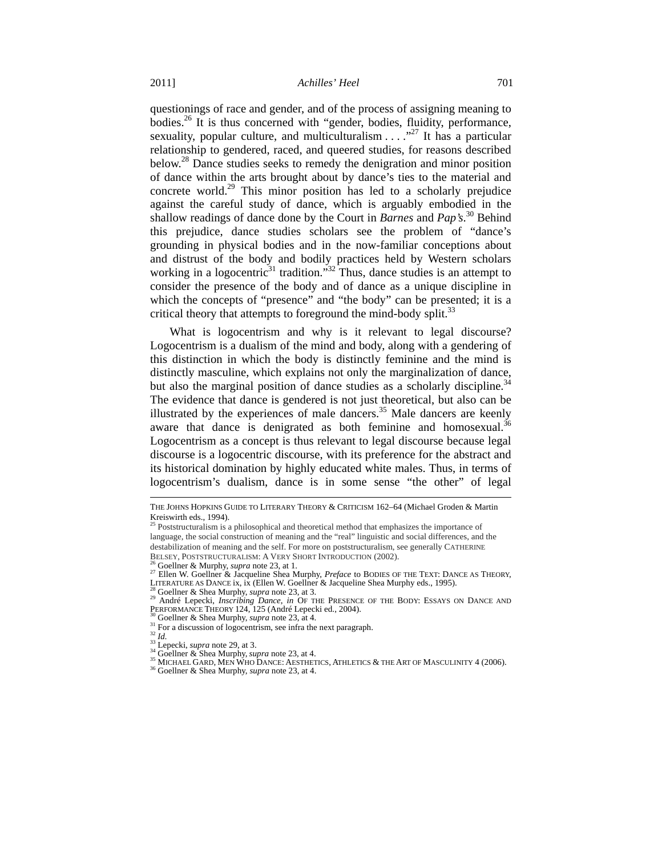questionings of race and gender, and of the process of assigning meaning to bodies.<sup>26</sup> It is thus concerned with "gender, bodies, fluidity, performance, sexuality, popular culture, and multiculturalism  $\ldots$ <sup>27</sup> It has a particular relationship to gendered, raced, and queered studies, for reasons described below.<sup>28</sup> Dance studies seeks to remedy the denigration and minor position of dance within the arts brought about by dance's ties to the material and concrete world.<sup>29</sup> This minor position has led to a scholarly prejudice against the careful study of dance, which is arguably embodied in the shallow readings of dance done by the Court in *Barnes* and *Pap's*. 30 Behind this prejudice, dance studies scholars see the problem of "dance's grounding in physical bodies and in the now-familiar conceptions about and distrust of the body and bodily practices held by Western scholars working in a logocentric<sup>31</sup> tradition."<sup>32</sup> Thus, dance studies is an attempt to consider the presence of the body and of dance as a unique discipline in which the concepts of "presence" and "the body" can be presented; it is a critical theory that attempts to foreground the mind-body split.<sup>33</sup>

What is logocentrism and why is it relevant to legal discourse? Logocentrism is a dualism of the mind and body, along with a gendering of this distinction in which the body is distinctly feminine and the mind is distinctly masculine, which explains not only the marginalization of dance, but also the marginal position of dance studies as a scholarly discipline.<sup>34</sup> The evidence that dance is gendered is not just theoretical, but also can be illustrated by the experiences of male dancers. $35$  Male dancers are keenly aware that dance is denigrated as both feminine and homosexual.<sup>36</sup> Logocentrism as a concept is thus relevant to legal discourse because legal discourse is a logocentric discourse, with its preference for the abstract and its historical domination by highly educated white males. Thus, in terms of logocentrism's dualism, dance is in some sense "the other" of legal

THE JOHNS HOPKINS GUIDE TO LITERARY THEORY & CRITICISM 162–64 (Michael Groden & Martin Kreiswirth eds., 1994).

<sup>&</sup>lt;sup>25</sup> Poststructuralism is a philosophical and theoretical method that emphasizes the importance of language, the social construction of meaning and the "real" linguistic and social differences, and the destabilization of meaning and the self. For more on poststructuralism, see generally CATHERINE<br>BELSEY, POSTSTRUCTURALISM: A VERY SHORT INTRODUCTION (2002).

<sup>&</sup>lt;sup>26</sup> Goellner & Murphy, *supra* note 23, at 1.<br>
<sup>27</sup> Ellen W. Goellner & Jacqueline Shea Murphy, *Preface* to BODIES OF THE TEXT: DANCE AS THEORY,<br>
<sup>27</sup> Ellen W. Goellner & Jacqueline Shea Murphy, *Preface* to BODIES OF T

<sup>&</sup>lt;sup>30</sup> Goellner & Shea Murphy, *supra* note 23, at 4.<br>
<sup>31</sup> For a discussion of logocentrism, see infra the next paragraph.<br>
<sup>32</sup> Id.<br>
<sup>33</sup> Lepecki, *supra* note 29, at 3.<br>
<sup>34</sup> Goellner & Shea Murphy, *supra* note 23, at 4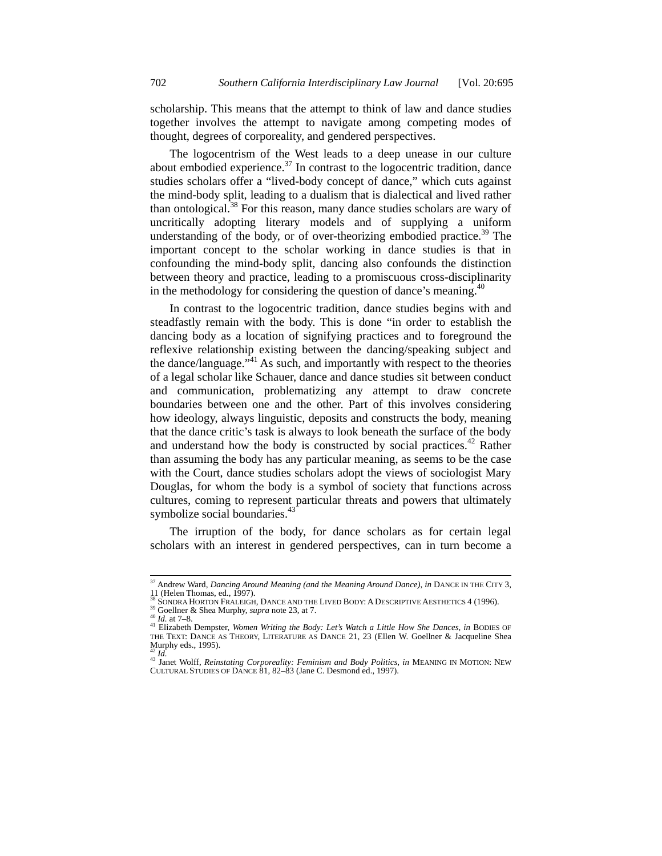scholarship. This means that the attempt to think of law and dance studies together involves the attempt to navigate among competing modes of thought, degrees of corporeality, and gendered perspectives.

The logocentrism of the West leads to a deep unease in our culture about embodied experience.<sup>37</sup> In contrast to the logocentric tradition, dance studies scholars offer a "lived-body concept of dance," which cuts against the mind-body split, leading to a dualism that is dialectical and lived rather than ontological.<sup>38</sup> For this reason, many dance studies scholars are wary of uncritically adopting literary models and of supplying a uniform understanding of the body, or of over-theorizing embodied practice.<sup>39</sup> The important concept to the scholar working in dance studies is that in confounding the mind-body split, dancing also confounds the distinction between theory and practice, leading to a promiscuous cross-disciplinarity in the methodology for considering the question of dance's meaning. $40$ 

In contrast to the logocentric tradition, dance studies begins with and steadfastly remain with the body. This is done "in order to establish the dancing body as a location of signifying practices and to foreground the reflexive relationship existing between the dancing/speaking subject and the dance/language."<sup>41</sup> As such, and importantly with respect to the theories of a legal scholar like Schauer, dance and dance studies sit between conduct and communication, problematizing any attempt to draw concrete boundaries between one and the other. Part of this involves considering how ideology, always linguistic, deposits and constructs the body, meaning that the dance critic's task is always to look beneath the surface of the body and understand how the body is constructed by social practices.<sup>42</sup> Rather than assuming the body has any particular meaning, as seems to be the case with the Court, dance studies scholars adopt the views of sociologist Mary Douglas, for whom the body is a symbol of society that functions across cultures, coming to represent particular threats and powers that ultimately symbolize social boundaries.<sup>43</sup>

The irruption of the body, for dance scholars as for certain legal scholars with an interest in gendered perspectives, can in turn become a

 <sup>37</sup> Andrew Ward, *Dancing Around Meaning (and the Meaning Around Dance)*, *in* DANCE IN THE CITY 3, 11 (Helen Thomas, ed., 1997).<br><sup>38</sup> SONDRA HORTON FRALEIGH, DANCE AND THE LIVED BODY: A DESCRIPTIVE AESTHETICS 4 (1996).

<sup>&</sup>lt;sup>39</sup> Goellner & Shea Murphy, *supra* note 23, at 7.<br><sup>40</sup> Id. at 7–8.<br><sup>41</sup> Elizabeth Dempster, *Women Writing the Body: Let's Watch a Little How She Dances, in BODIES OF* THE TEXT: DANCE AS THEORY, LITERATURE AS DANCE 21, 23 (Ellen W. Goellner & Jacqueline Shea Murphy eds., 1995).

<sup>42</sup> *Id.*<br><sup>43</sup> Janet Wolff, *Reinstating Corporeality: Feminism and Body Politics*, *in* MEANING IN MOTION: NEW CULTURAL STUDIES OF DANCE 81, 82–83 (Jane C. Desmond ed., 1997).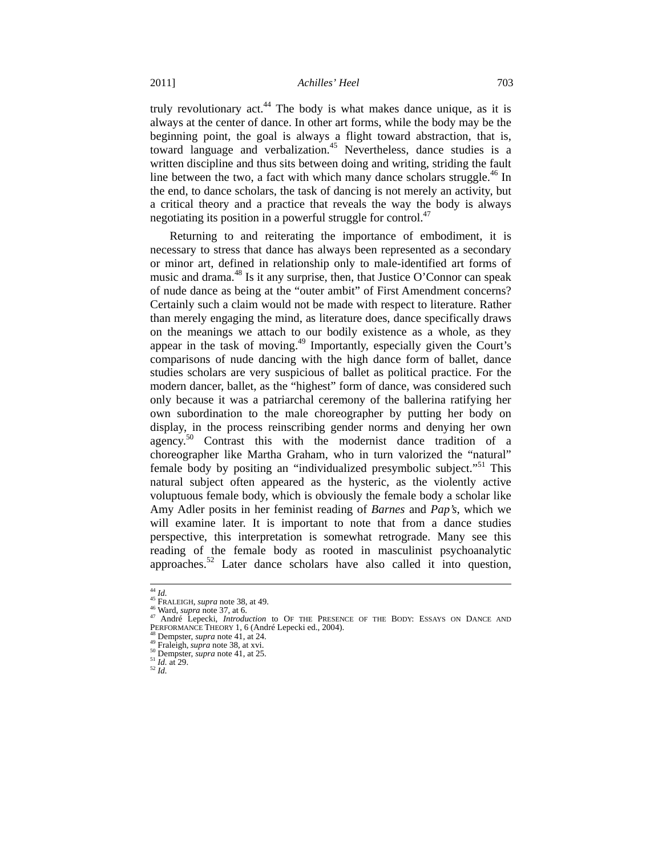#### 2011] *Achilles' Heel* 703

truly revolutionary act.<sup>44</sup> The body is what makes dance unique, as it is always at the center of dance. In other art forms, while the body may be the beginning point, the goal is always a flight toward abstraction, that is, toward language and verbalization.<sup>45</sup> Nevertheless, dance studies is a written discipline and thus sits between doing and writing, striding the fault line between the two, a fact with which many dance scholars struggle.<sup>46</sup> In the end, to dance scholars, the task of dancing is not merely an activity, but a critical theory and a practice that reveals the way the body is always negotiating its position in a powerful struggle for control. $47$ 

Returning to and reiterating the importance of embodiment, it is necessary to stress that dance has always been represented as a secondary or minor art, defined in relationship only to male-identified art forms of music and drama. $^{48}$  Is it any surprise, then, that Justice O'Connor can speak of nude dance as being at the "outer ambit" of First Amendment concerns? Certainly such a claim would not be made with respect to literature. Rather than merely engaging the mind, as literature does, dance specifically draws on the meanings we attach to our bodily existence as a whole, as they appear in the task of moving.49 Importantly, especially given the Court's comparisons of nude dancing with the high dance form of ballet, dance studies scholars are very suspicious of ballet as political practice. For the modern dancer, ballet, as the "highest" form of dance, was considered such only because it was a patriarchal ceremony of the ballerina ratifying her own subordination to the male choreographer by putting her body on display, in the process reinscribing gender norms and denying her own agency.<sup>50</sup> Contrast this with the modernist dance tradition of a choreographer like Martha Graham, who in turn valorized the "natural" female body by positing an "individualized presymbolic subject."51 This natural subject often appeared as the hysteric, as the violently active voluptuous female body, which is obviously the female body a scholar like Amy Adler posits in her feminist reading of *Barnes* and *Pap's*, which we will examine later. It is important to note that from a dance studies perspective, this interpretation is somewhat retrograde. Many see this reading of the female body as rooted in masculinist psychoanalytic approaches.52 Later dance scholars have also called it into question,

<sup>&</sup>lt;sup>44</sup> *Id.*<br><sup>45</sup> FRALEIGH, *supra* note 38, at 49.<br><sup>46</sup> Ward, *supra* note 37, at 6.<br><sup>47</sup> André Lepecki, *Introduction* to OF THE PRESENCE OF THE BODY: ESSAYS ON DANCE AND<br>PERFORMANCE THEORY 1, 6 (André Lepecki ed., 2004).

<sup>&</sup>lt;sup>48</sup> Dempster, *supra* note 41, at 24.  $\frac{40}{9}$  Pempster, *supra* note 38, at xvi. 50 Dempster, *supra* note 41, at 25.  $\frac{51}{2}$  *Id.* at 29.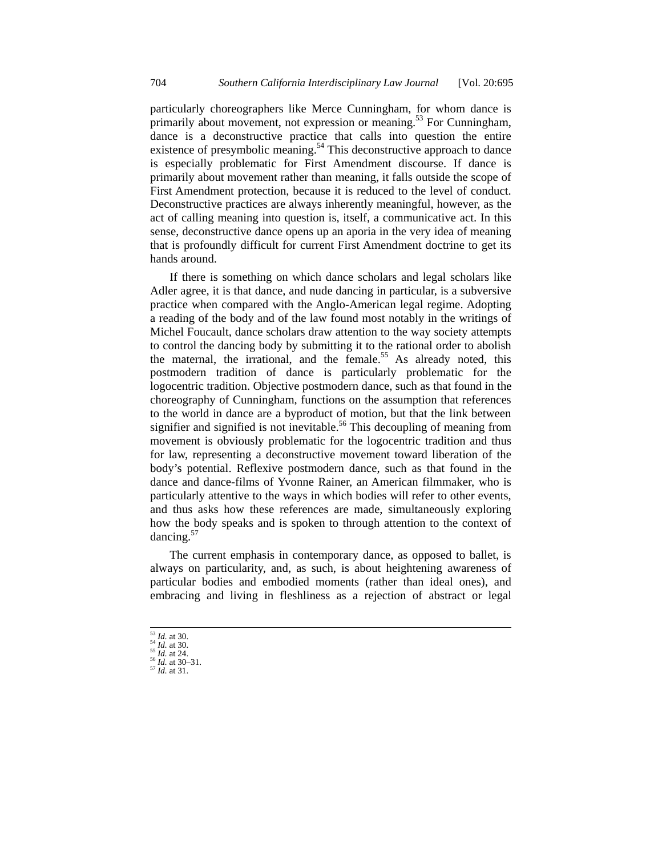particularly choreographers like Merce Cunningham, for whom dance is primarily about movement, not expression or meaning.<sup>53</sup> For Cunningham, dance is a deconstructive practice that calls into question the entire existence of presymbolic meaning.<sup>54</sup> This deconstructive approach to dance is especially problematic for First Amendment discourse. If dance is primarily about movement rather than meaning, it falls outside the scope of First Amendment protection, because it is reduced to the level of conduct. Deconstructive practices are always inherently meaningful, however, as the act of calling meaning into question is, itself, a communicative act. In this sense, deconstructive dance opens up an aporia in the very idea of meaning that is profoundly difficult for current First Amendment doctrine to get its hands around.

If there is something on which dance scholars and legal scholars like Adler agree, it is that dance, and nude dancing in particular, is a subversive practice when compared with the Anglo-American legal regime. Adopting a reading of the body and of the law found most notably in the writings of Michel Foucault, dance scholars draw attention to the way society attempts to control the dancing body by submitting it to the rational order to abolish the maternal, the irrational, and the female.<sup>55</sup> As already noted, this postmodern tradition of dance is particularly problematic for the logocentric tradition. Objective postmodern dance, such as that found in the choreography of Cunningham, functions on the assumption that references to the world in dance are a byproduct of motion, but that the link between signifier and signified is not inevitable.<sup>56</sup> This decoupling of meaning from movement is obviously problematic for the logocentric tradition and thus for law, representing a deconstructive movement toward liberation of the body's potential. Reflexive postmodern dance, such as that found in the dance and dance-films of Yvonne Rainer, an American filmmaker, who is particularly attentive to the ways in which bodies will refer to other events, and thus asks how these references are made, simultaneously exploring how the body speaks and is spoken to through attention to the context of dancing.<sup>57</sup>

The current emphasis in contemporary dance, as opposed to ballet, is always on particularity, and, as such, is about heightening awareness of particular bodies and embodied moments (rather than ideal ones), and embracing and living in fleshliness as a rejection of abstract or legal

 <sup>53</sup> *Id.* at 30. 54 *Id.* at 30. 55 *Id.* at 24. 56 *Id.* at 30–31. 57 *Id.* at 31.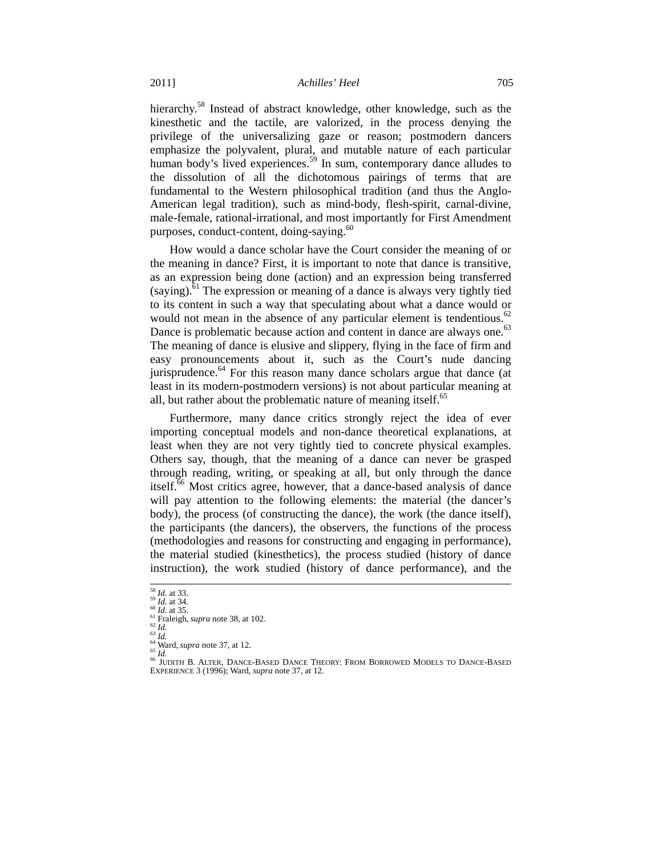hierarchy.<sup>58</sup> Instead of abstract knowledge, other knowledge, such as the kinesthetic and the tactile, are valorized, in the process denying the privilege of the universalizing gaze or reason; postmodern dancers emphasize the polyvalent, plural, and mutable nature of each particular human body's lived experiences.<sup>59</sup> In sum, contemporary dance alludes to the dissolution of all the dichotomous pairings of terms that are fundamental to the Western philosophical tradition (and thus the Anglo-American legal tradition), such as mind-body, flesh-spirit, carnal-divine, male-female, rational-irrational, and most importantly for First Amendment purposes, conduct-content, doing-saying.<sup>60</sup>

How would a dance scholar have the Court consider the meaning of or the meaning in dance? First, it is important to note that dance is transitive, as an expression being done (action) and an expression being transferred  $(saying)$ <sup>61</sup>. The expression or meaning of a dance is always very tightly tied to its content in such a way that speculating about what a dance would or would not mean in the absence of any particular element is tendentious.<sup>62</sup> Dance is problematic because action and content in dance are always one.<sup>63</sup> The meaning of dance is elusive and slippery, flying in the face of firm and easy pronouncements about it, such as the Court's nude dancing jurisprudence.<sup>64</sup> For this reason many dance scholars argue that dance (at least in its modern-postmodern versions) is not about particular meaning at all, but rather about the problematic nature of meaning itself.<sup>65</sup>

Furthermore, many dance critics strongly reject the idea of ever importing conceptual models and non-dance theoretical explanations, at least when they are not very tightly tied to concrete physical examples. Others say, though, that the meaning of a dance can never be grasped through reading, writing, or speaking at all, but only through the dance itself.<sup>66</sup> Most critics agree, however, that a dance-based analysis of dance will pay attention to the following elements: the material (the dancer's body), the process (of constructing the dance), the work (the dance itself), the participants (the dancers), the observers, the functions of the process (methodologies and reasons for constructing and engaging in performance), the material studied (kinesthetics), the process studied (history of dance instruction), the work studied (history of dance performance), and the

<sup>&</sup>lt;sup>58</sup> *Id.* at 33.<br><sup>59</sup> *Id.* at 34.<br><sup>60</sup> *Id.* at 35.<br><sup>61</sup> Fraleigh, *supra* note 38, at 102.<br><sup>63</sup> *Id.*<br><sup>64</sup> Ward, *supra* note 37, at 12.<br><sup>65</sup> *Id.*<br><sup>65</sup> JUDITH B. ALTER, DANCE-BASED DANCE THEORY: FROM BORROWED MODELS T EXPERIENCE 3 (1996); Ward, *supra* note 37, at 12.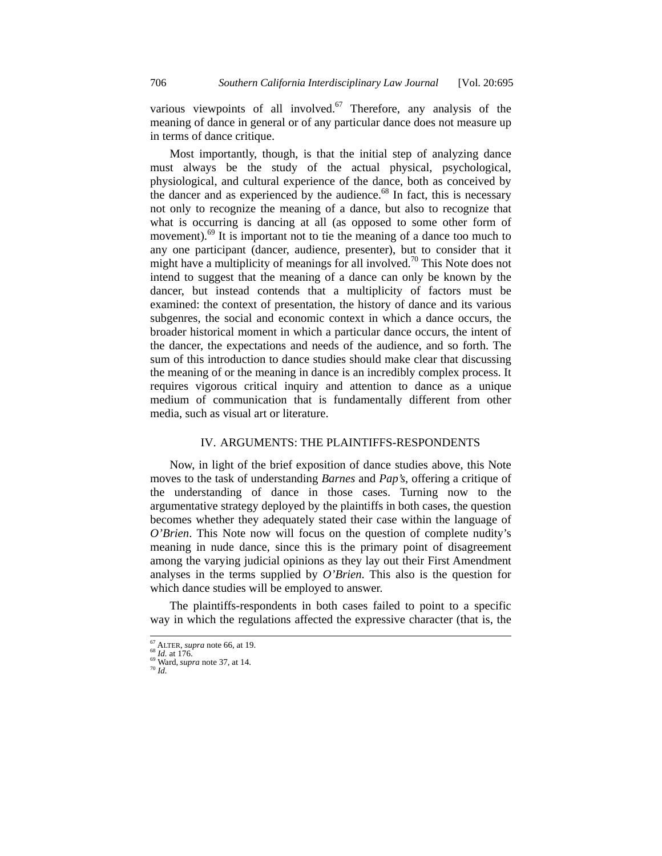various viewpoints of all involved.<sup>67</sup> Therefore, any analysis of the meaning of dance in general or of any particular dance does not measure up in terms of dance critique.

Most importantly, though, is that the initial step of analyzing dance must always be the study of the actual physical, psychological, physiological, and cultural experience of the dance, both as conceived by the dancer and as experienced by the audience.<sup>68</sup> In fact, this is necessary not only to recognize the meaning of a dance, but also to recognize that what is occurring is dancing at all (as opposed to some other form of movement).<sup>69</sup> It is important not to tie the meaning of a dance too much to any one participant (dancer, audience, presenter), but to consider that it might have a multiplicity of meanings for all involved.<sup>70</sup> This Note does not intend to suggest that the meaning of a dance can only be known by the dancer, but instead contends that a multiplicity of factors must be examined: the context of presentation, the history of dance and its various subgenres, the social and economic context in which a dance occurs, the broader historical moment in which a particular dance occurs, the intent of the dancer, the expectations and needs of the audience, and so forth. The sum of this introduction to dance studies should make clear that discussing the meaning of or the meaning in dance is an incredibly complex process. It requires vigorous critical inquiry and attention to dance as a unique medium of communication that is fundamentally different from other media, such as visual art or literature.

## IV. ARGUMENTS: THE PLAINTIFFS-RESPONDENTS

Now, in light of the brief exposition of dance studies above, this Note moves to the task of understanding *Barnes* and *Pap's*, offering a critique of the understanding of dance in those cases. Turning now to the argumentative strategy deployed by the plaintiffs in both cases, the question becomes whether they adequately stated their case within the language of *O'Brien*. This Note now will focus on the question of complete nudity's meaning in nude dance, since this is the primary point of disagreement among the varying judicial opinions as they lay out their First Amendment analyses in the terms supplied by *O'Brien*. This also is the question for which dance studies will be employed to answer.

The plaintiffs-respondents in both cases failed to point to a specific way in which the regulations affected the expressive character (that is, the

<sup>&</sup>lt;sup>67</sup> ALTER, *supra* note 66, at 19.<br><sup>68</sup> *Id.* at 176.<br><sup>69</sup> Ward, *supra* note 37, at 14.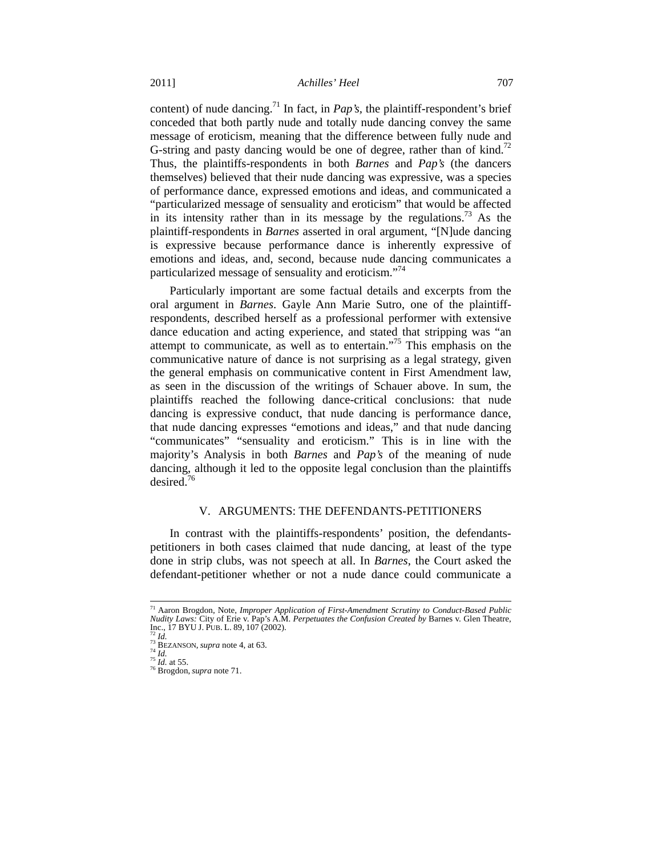content) of nude dancing.71 In fact, in *Pap's,* the plaintiff-respondent's brief conceded that both partly nude and totally nude dancing convey the same message of eroticism, meaning that the difference between fully nude and G-string and pasty dancing would be one of degree, rather than of kind.<sup>72</sup> Thus, the plaintiffs-respondents in both *Barnes* and *Pap's* (the dancers themselves) believed that their nude dancing was expressive, was a species of performance dance, expressed emotions and ideas, and communicated a "particularized message of sensuality and eroticism" that would be affected in its intensity rather than in its message by the regulations.<sup>73</sup> As the plaintiff-respondents in *Barnes* asserted in oral argument, "[N]ude dancing is expressive because performance dance is inherently expressive of emotions and ideas, and, second, because nude dancing communicates a particularized message of sensuality and eroticism."<sup>74</sup>

Particularly important are some factual details and excerpts from the oral argument in *Barnes*. Gayle Ann Marie Sutro, one of the plaintiffrespondents, described herself as a professional performer with extensive dance education and acting experience, and stated that stripping was "an attempt to communicate, as well as to entertain."75 This emphasis on the communicative nature of dance is not surprising as a legal strategy, given the general emphasis on communicative content in First Amendment law, as seen in the discussion of the writings of Schauer above. In sum, the plaintiffs reached the following dance-critical conclusions: that nude dancing is expressive conduct, that nude dancing is performance dance, that nude dancing expresses "emotions and ideas," and that nude dancing "communicates" "sensuality and eroticism." This is in line with the majority's Analysis in both *Barnes* and *Pap's* of the meaning of nude dancing, although it led to the opposite legal conclusion than the plaintiffs desired.<sup>76</sup>

#### V. ARGUMENTS: THE DEFENDANTS-PETITIONERS

In contrast with the plaintiffs-respondents' position, the defendantspetitioners in both cases claimed that nude dancing, at least of the type done in strip clubs, was not speech at all. In *Barnes*, the Court asked the defendant-petitioner whether or not a nude dance could communicate a

 <sup>71</sup> Aaron Brogdon, Note, *Improper Application of First-Amendment Scrutiny to Conduct-Based Public Nudity Laws:* City of Erie v. Pap's A.M. *Perpetuates the Confusion Created by* Barnes v. Glen Theatre, Inc., 17 BYU J. PUB. L. 89, 107 (2002). 72 *Id.* 73 BEZANSON, *supra* note 4, at 63. 74 *Id.* <sup>75</sup> *Id.* at 55. 76 Brogdon, *supra* note 71.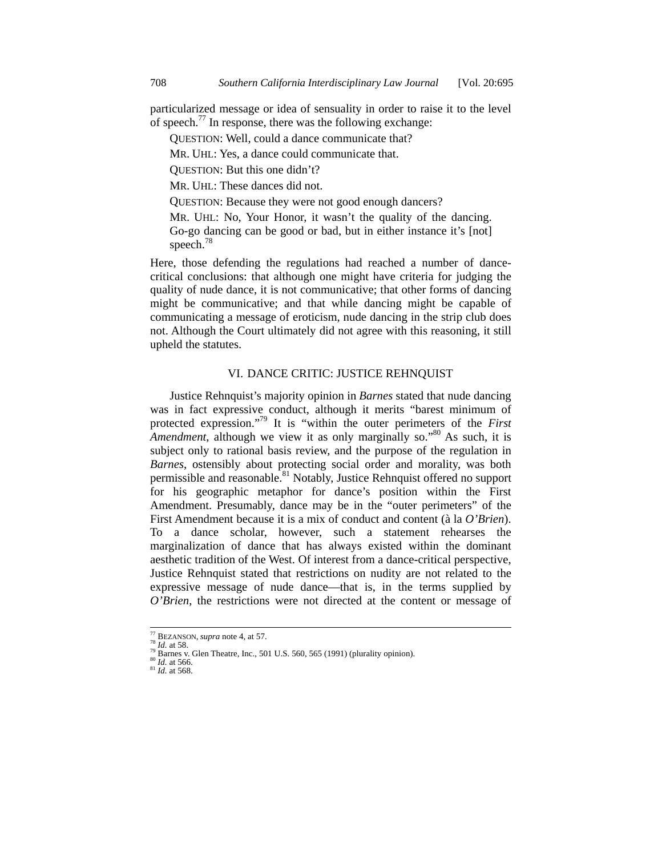particularized message or idea of sensuality in order to raise it to the level of speech.<sup>77</sup> In response, there was the following exchange:

QUESTION: Well, could a dance communicate that?

MR. UHL: Yes, a dance could communicate that.

QUESTION: But this one didn't?

MR. UHL: These dances did not.

QUESTION: Because they were not good enough dancers?

MR. UHL: No, Your Honor, it wasn't the quality of the dancing. Go-go dancing can be good or bad, but in either instance it's [not] speech.<sup>78</sup>

Here, those defending the regulations had reached a number of dancecritical conclusions: that although one might have criteria for judging the quality of nude dance, it is not communicative; that other forms of dancing might be communicative; and that while dancing might be capable of communicating a message of eroticism, nude dancing in the strip club does not. Although the Court ultimately did not agree with this reasoning, it still upheld the statutes.

# VI. DANCE CRITIC: JUSTICE REHNQUIST

Justice Rehnquist's majority opinion in *Barnes* stated that nude dancing was in fact expressive conduct, although it merits "barest minimum of protected expression."79 It is "within the outer perimeters of the *First Amendment*, although we view it as only marginally so."<sup>80</sup> As such, it is subject only to rational basis review, and the purpose of the regulation in *Barnes*, ostensibly about protecting social order and morality, was both permissible and reasonable.<sup>81</sup> Notably, Justice Rehnquist offered no support for his geographic metaphor for dance's position within the First Amendment. Presumably, dance may be in the "outer perimeters" of the First Amendment because it is a mix of conduct and content (à la *O'Brien*). To a dance scholar, however, such a statement rehearses the marginalization of dance that has always existed within the dominant aesthetic tradition of the West. Of interest from a dance-critical perspective, Justice Rehnquist stated that restrictions on nudity are not related to the expressive message of nude dance—that is, in the terms supplied by *O'Brien*, the restrictions were not directed at the content or message of

 <sup>77</sup> BEZANSON, *supra* note 4, at 57. 78 *Id.* at 58. 79 Barnes v. Glen Theatre, Inc., 501 U.S. 560, 565 (1991) (plurality opinion). 80 *Id.* at 566. 81 *Id.* at 568.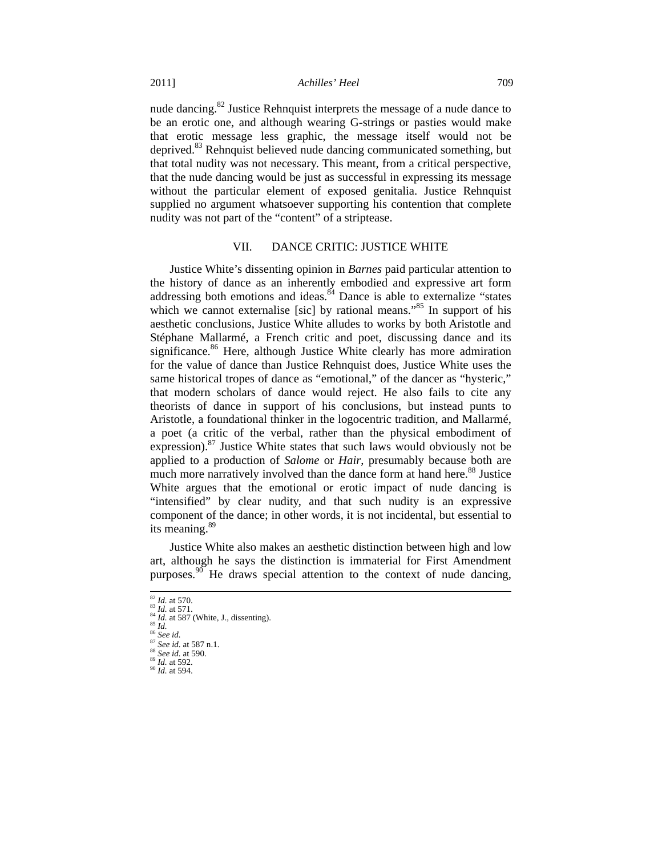nude dancing.82 Justice Rehnquist interprets the message of a nude dance to be an erotic one, and although wearing G-strings or pasties would make that erotic message less graphic, the message itself would not be deprived.<sup>83</sup> Rehnquist believed nude dancing communicated something, but that total nudity was not necessary. This meant, from a critical perspective, that the nude dancing would be just as successful in expressing its message without the particular element of exposed genitalia. Justice Rehnquist supplied no argument whatsoever supporting his contention that complete nudity was not part of the "content" of a striptease.

# VII. DANCE CRITIC: JUSTICE WHITE

Justice White's dissenting opinion in *Barnes* paid particular attention to the history of dance as an inherently embodied and expressive art form addressing both emotions and ideas.<sup>84</sup> Dance is able to externalize "states" which we cannot externalise [sic] by rational means."<sup>85</sup> In support of his aesthetic conclusions, Justice White alludes to works by both Aristotle and Stéphane Mallarmé, a French critic and poet, discussing dance and its significance.<sup>86</sup> Here, although Justice White clearly has more admiration for the value of dance than Justice Rehnquist does, Justice White uses the same historical tropes of dance as "emotional," of the dancer as "hysteric," that modern scholars of dance would reject. He also fails to cite any theorists of dance in support of his conclusions, but instead punts to Aristotle, a foundational thinker in the logocentric tradition, and Mallarmé, a poet (a critic of the verbal, rather than the physical embodiment of expression). $87$  Justice White states that such laws would obviously not be applied to a production of *Salome* or *Hair*, presumably because both are much more narratively involved than the dance form at hand here.<sup>88</sup> Justice White argues that the emotional or erotic impact of nude dancing is "intensified" by clear nudity, and that such nudity is an expressive component of the dance; in other words, it is not incidental, but essential to its meaning.<sup>89</sup>

Justice White also makes an aesthetic distinction between high and low art, although he says the distinction is immaterial for First Amendment purposes.<sup>90</sup> He draws special attention to the context of nude dancing,

<sup>&</sup>lt;sup>82</sup> *Id.* at 570.<br>
<sup>83</sup> *Id.* at 571.<br>
<sup>84</sup> *Id.* at 587 (White, J., dissenting).<br>
<sup>85</sup> *Id.*<br>
<sup>86</sup> *See id.*<br>
<sup>87</sup> *See id.* at 587 n.1.<br>
<sup>88</sup> *See id.* at 590.<br>
<sup>89</sup> *Id.* at 592.<br>
<sup>90</sup> *Id.* at 594.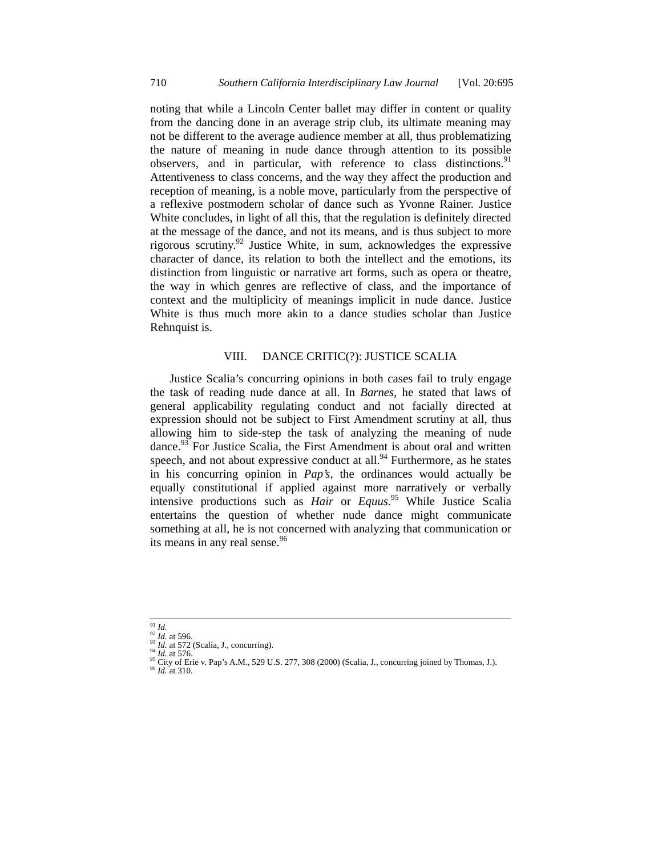noting that while a Lincoln Center ballet may differ in content or quality from the dancing done in an average strip club, its ultimate meaning may not be different to the average audience member at all, thus problematizing the nature of meaning in nude dance through attention to its possible observers, and in particular, with reference to class distinctions.<sup>91</sup> Attentiveness to class concerns, and the way they affect the production and reception of meaning, is a noble move, particularly from the perspective of a reflexive postmodern scholar of dance such as Yvonne Rainer. Justice White concludes, in light of all this, that the regulation is definitely directed at the message of the dance, and not its means, and is thus subject to more rigorous scrutiny.92 Justice White, in sum, acknowledges the expressive character of dance, its relation to both the intellect and the emotions, its distinction from linguistic or narrative art forms, such as opera or theatre, the way in which genres are reflective of class, and the importance of context and the multiplicity of meanings implicit in nude dance. Justice White is thus much more akin to a dance studies scholar than Justice Rehnquist is.

# VIII. DANCE CRITIC(?): JUSTICE SCALIA

Justice Scalia's concurring opinions in both cases fail to truly engage the task of reading nude dance at all. In *Barnes*, he stated that laws of general applicability regulating conduct and not facially directed at expression should not be subject to First Amendment scrutiny at all, thus allowing him to side-step the task of analyzing the meaning of nude dance. $93$  For Justice Scalia, the First Amendment is about oral and written speech, and not about expressive conduct at all. $94$  Furthermore, as he states in his concurring opinion in *Pap's*, the ordinances would actually be equally constitutional if applied against more narratively or verbally intensive productions such as *Hair* or *Equus*. 95 While Justice Scalia entertains the question of whether nude dance might communicate something at all, he is not concerned with analyzing that communication or its means in any real sense.<sup>96</sup>

<sup>91</sup> *Id.*<br>
92 *Id.* at 596.<br>
92 *Id.* at 572 (Scalia, J., concurring).<br>
94 *Id.* at 576.<br>
95 *City of Erie v. Pap's A.M., 529 U.S. 277, 308 (2000) (Scalia, J., concurring joined by Thomas, J.).*<br>
96 *City of Erie v. Pap's*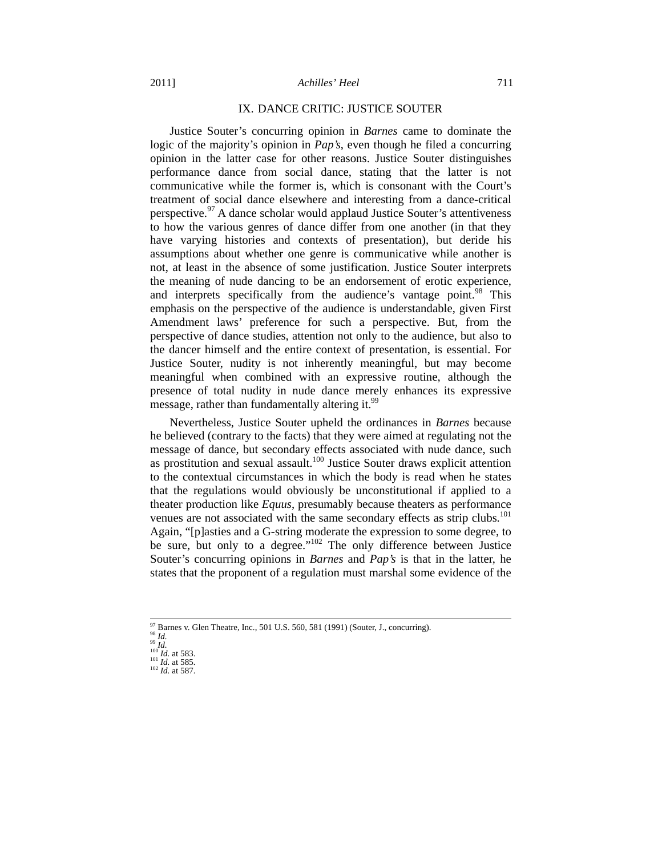#### 2011] *Achilles' Heel* 711

#### IX. DANCE CRITIC: JUSTICE SOUTER

Justice Souter's concurring opinion in *Barnes* came to dominate the logic of the majority's opinion in *Pap's*, even though he filed a concurring opinion in the latter case for other reasons. Justice Souter distinguishes performance dance from social dance, stating that the latter is not communicative while the former is, which is consonant with the Court's treatment of social dance elsewhere and interesting from a dance-critical perspective.<sup>97</sup> A dance scholar would applaud Justice Souter's attentiveness to how the various genres of dance differ from one another (in that they have varying histories and contexts of presentation), but deride his assumptions about whether one genre is communicative while another is not, at least in the absence of some justification. Justice Souter interprets the meaning of nude dancing to be an endorsement of erotic experience, and interprets specifically from the audience's vantage point.<sup>98</sup> This emphasis on the perspective of the audience is understandable, given First Amendment laws' preference for such a perspective. But, from the perspective of dance studies, attention not only to the audience, but also to the dancer himself and the entire context of presentation, is essential. For Justice Souter, nudity is not inherently meaningful, but may become meaningful when combined with an expressive routine, although the presence of total nudity in nude dance merely enhances its expressive message, rather than fundamentally altering it.<sup>99</sup>

Nevertheless, Justice Souter upheld the ordinances in *Barnes* because he believed (contrary to the facts) that they were aimed at regulating not the message of dance, but secondary effects associated with nude dance, such as prostitution and sexual assault.100 Justice Souter draws explicit attention to the contextual circumstances in which the body is read when he states that the regulations would obviously be unconstitutional if applied to a theater production like *Equus*, presumably because theaters as performance venues are not associated with the same secondary effects as strip clubs.<sup>101</sup> Again, "[p]asties and a G-string moderate the expression to some degree, to be sure, but only to a degree."<sup>102</sup> The only difference between Justice Souter's concurring opinions in *Barnes* and *Pap's* is that in the latter, he states that the proponent of a regulation must marshal some evidence of the

<sup>97</sup> Barnes v. Glen Theatre, Inc., 501 U.S. 560, 581 (1991) (Souter, J., concurring). 98 *Id.*<br>99 *Id.*<br>100 *Id.* at 583. 101 *Id.* at 585. 102 *Id.* at 587.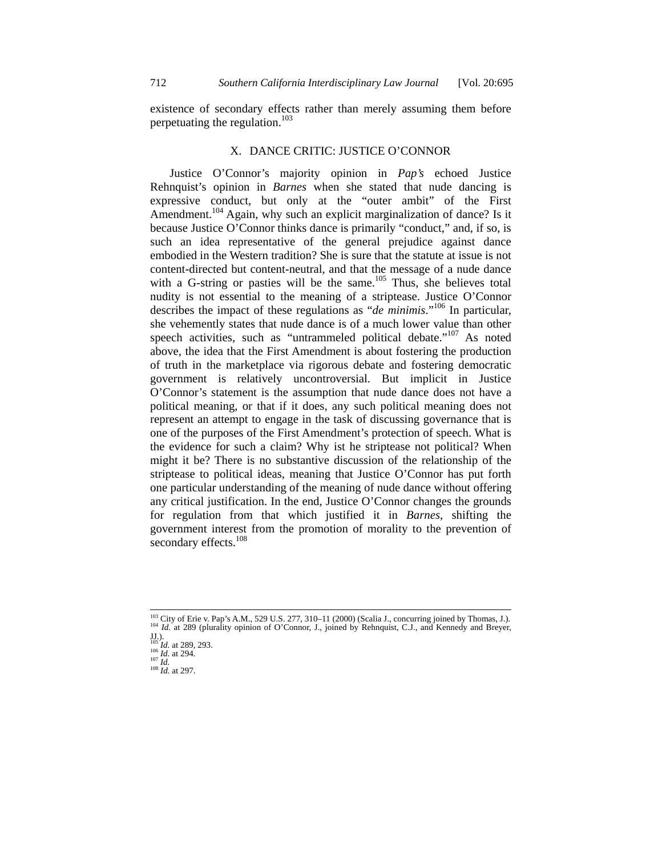existence of secondary effects rather than merely assuming them before perpetuating the regulation.<sup>103</sup>

#### X. DANCE CRITIC: JUSTICE O'CONNOR

Justice O'Connor's majority opinion in *Pap's* echoed Justice Rehnquist's opinion in *Barnes* when she stated that nude dancing is expressive conduct, but only at the "outer ambit" of the First Amendment.<sup>104</sup> Again, why such an explicit marginalization of dance? Is it because Justice O'Connor thinks dance is primarily "conduct," and, if so, is such an idea representative of the general prejudice against dance embodied in the Western tradition? She is sure that the statute at issue is not content-directed but content-neutral, and that the message of a nude dance with a G-string or pasties will be the same.<sup>105</sup> Thus, she believes total nudity is not essential to the meaning of a striptease. Justice O'Connor describes the impact of these regulations as "*de minimis*."106 In particular, she vehemently states that nude dance is of a much lower value than other speech activities, such as "untrammeled political debate."<sup>107</sup> As noted above, the idea that the First Amendment is about fostering the production of truth in the marketplace via rigorous debate and fostering democratic government is relatively uncontroversial. But implicit in Justice O'Connor's statement is the assumption that nude dance does not have a political meaning, or that if it does, any such political meaning does not represent an attempt to engage in the task of discussing governance that is one of the purposes of the First Amendment's protection of speech. What is the evidence for such a claim? Why ist he striptease not political? When might it be? There is no substantive discussion of the relationship of the striptease to political ideas, meaning that Justice O'Connor has put forth one particular understanding of the meaning of nude dance without offering any critical justification. In the end, Justice O'Connor changes the grounds for regulation from that which justified it in *Barnes*, shifting the government interest from the promotion of morality to the prevention of secondary effects.<sup>108</sup>

<sup>&</sup>lt;sup>103</sup> City of Erie v. Pap's A.M., 529 U.S. 277, 310–11 (2000) (Scalia J., concurring joined by Thomas, J.). <sup>104</sup> *Id.* at 289 (plurality opinion of O'Connor, J., joined by Rehnquist, C.J., and Kennedy and Breyer,

JJ.). <sup>105</sup> *Id.* at 289, 293. 106 *Id.* at 294. 107 *Id.* <sup>108</sup> *Id.* at 297.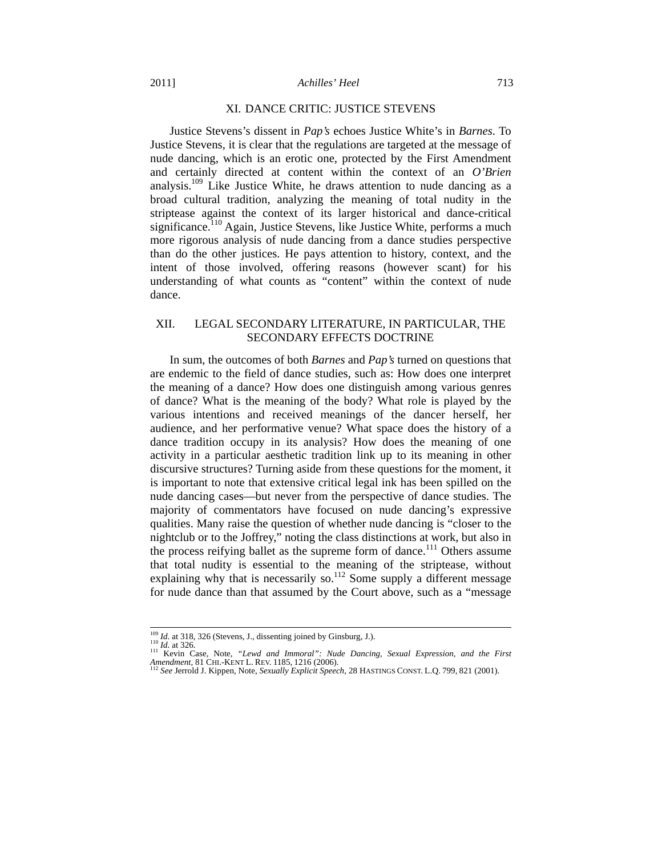#### XI. DANCE CRITIC: JUSTICE STEVENS

Justice Stevens's dissent in *Pap's* echoes Justice White's in *Barnes*. To Justice Stevens, it is clear that the regulations are targeted at the message of nude dancing, which is an erotic one, protected by the First Amendment and certainly directed at content within the context of an *O'Brien* analysis.109 Like Justice White, he draws attention to nude dancing as a broad cultural tradition, analyzing the meaning of total nudity in the striptease against the context of its larger historical and dance-critical significance.<sup>110</sup> Again, Justice Stevens, like Justice White, performs a much more rigorous analysis of nude dancing from a dance studies perspective than do the other justices. He pays attention to history, context, and the intent of those involved, offering reasons (however scant) for his understanding of what counts as "content" within the context of nude dance.

# XII. LEGAL SECONDARY LITERATURE, IN PARTICULAR, THE SECONDARY EFFECTS DOCTRINE

In sum, the outcomes of both *Barnes* and *Pap's* turned on questions that are endemic to the field of dance studies, such as: How does one interpret the meaning of a dance? How does one distinguish among various genres of dance? What is the meaning of the body? What role is played by the various intentions and received meanings of the dancer herself, her audience, and her performative venue? What space does the history of a dance tradition occupy in its analysis? How does the meaning of one activity in a particular aesthetic tradition link up to its meaning in other discursive structures? Turning aside from these questions for the moment, it is important to note that extensive critical legal ink has been spilled on the nude dancing cases—but never from the perspective of dance studies. The majority of commentators have focused on nude dancing's expressive qualities. Many raise the question of whether nude dancing is "closer to the nightclub or to the Joffrey," noting the class distinctions at work, but also in the process reifying ballet as the supreme form of dance.<sup>111</sup> Others assume that total nudity is essential to the meaning of the striptease, without explaining why that is necessarily so. $112$  Some supply a different message for nude dance than that assumed by the Court above, such as a "message

<sup>&</sup>lt;sup>109</sup> *Id.* at 318, 326 (Stevens, J., dissenting joined by Ginsburg, J.).<br><sup>110</sup> *Id.* at 326. 111 Kevin Case, Note, *"Lewd and Immoral": Nude Dancing, Sexual Expression, and the First Amendment*, 81 CHI.-KENT L. REV. 1185, 1216 (2006). **112** *Dancing*, *Sexually Explicit Speech*, 28 HASTINGS CONST. L.Q. 799, 821 (2001).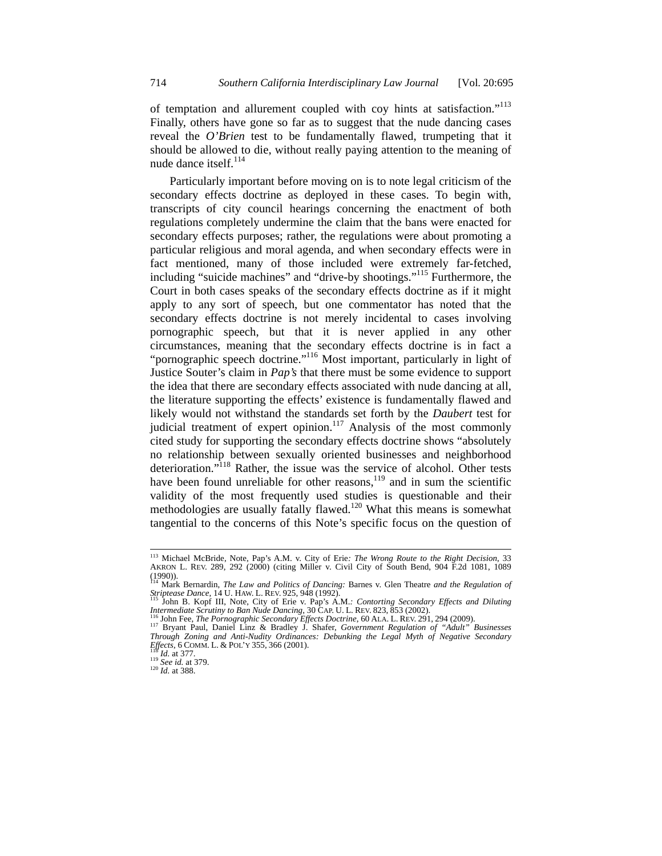of temptation and allurement coupled with coy hints at satisfaction."<sup>113</sup> Finally, others have gone so far as to suggest that the nude dancing cases reveal the *O'Brien* test to be fundamentally flawed, trumpeting that it should be allowed to die, without really paying attention to the meaning of nude dance itself.<sup>114</sup>

Particularly important before moving on is to note legal criticism of the secondary effects doctrine as deployed in these cases. To begin with, transcripts of city council hearings concerning the enactment of both regulations completely undermine the claim that the bans were enacted for secondary effects purposes; rather, the regulations were about promoting a particular religious and moral agenda, and when secondary effects were in fact mentioned, many of those included were extremely far-fetched, including "suicide machines" and "drive-by shootings."115 Furthermore, the Court in both cases speaks of the secondary effects doctrine as if it might apply to any sort of speech, but one commentator has noted that the secondary effects doctrine is not merely incidental to cases involving pornographic speech, but that it is never applied in any other circumstances, meaning that the secondary effects doctrine is in fact a "pornographic speech doctrine."<sup>116</sup> Most important, particularly in light of Justice Souter's claim in *Pap's* that there must be some evidence to support the idea that there are secondary effects associated with nude dancing at all, the literature supporting the effects' existence is fundamentally flawed and likely would not withstand the standards set forth by the *Daubert* test for judicial treatment of expert opinion.<sup>117</sup> Analysis of the most commonly cited study for supporting the secondary effects doctrine shows "absolutely no relationship between sexually oriented businesses and neighborhood deterioration."<sup>118</sup> Rather, the issue was the service of alcohol. Other tests have been found unreliable for other reasons,<sup>119</sup> and in sum the scientific validity of the most frequently used studies is questionable and their methodologies are usually fatally flawed.<sup>120</sup> What this means is somewhat tangential to the concerns of this Note's specific focus on the question of

 <sup>113</sup> Michael McBride, Note, Pap's A.M. v. City of Erie*: The Wrong Route to the Right Decision*, 33 AKRON L. REV. 289, 292 (2000) (citing Miller v. Civil City of South Bend, 904 F.2d 1081, 1089 (1990)). 114 Mark Bernardin, *The Law and Politics of Dancing:* Barnes v. Glen Theatre *and the Regulation of* 

*Striptease Dance*, 14 U. HAW. L. REV. 925, 948 (1992).<br><sup>115</sup> John B. Kopf III, Note, City of Erie v. Pap's A.M.*: Contorting Secondary Effects and Diluting* 

<sup>&</sup>lt;sup>115</sup> John B. Kopf III, Note, City of Erie v. Pap's A.M.: Contorting Secondary Effects and Diluting Intermediate Scrutiny to Ban Nude Dancing, 30 CAP. U. L. REV. 823, 853 (2002).<br><sup>116</sup> John Fee, *The Pornographic Secondar* 

*Through Zoning and Anti-Nudity Ordinances: Debunking the Legal Myth of Negative Secondary Effects*, 6 COMM. L. & POL'Y 355, 366 (2001).<br><sup>118</sup> *Id.* at 377.<br><sup>119</sup> *See id.* at 379.<br><sup>120</sup> *Id.* at 388.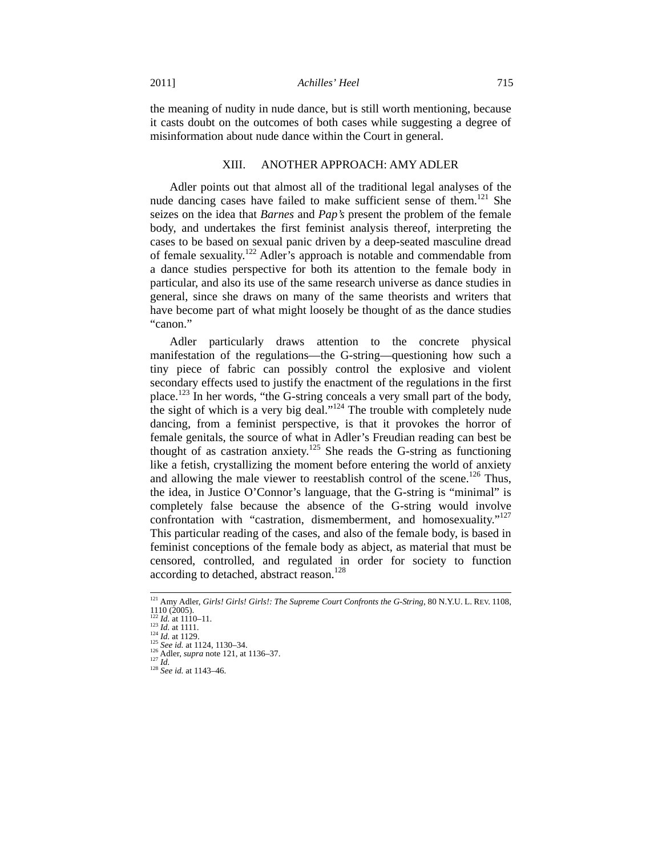the meaning of nudity in nude dance, but is still worth mentioning, because it casts doubt on the outcomes of both cases while suggesting a degree of misinformation about nude dance within the Court in general.

## XIII. ANOTHER APPROACH: AMY ADLER

Adler points out that almost all of the traditional legal analyses of the nude dancing cases have failed to make sufficient sense of them.<sup>121</sup> She seizes on the idea that *Barnes* and *Pap's* present the problem of the female body, and undertakes the first feminist analysis thereof, interpreting the cases to be based on sexual panic driven by a deep-seated masculine dread of female sexuality.<sup>122</sup> Adler's approach is notable and commendable from a dance studies perspective for both its attention to the female body in particular, and also its use of the same research universe as dance studies in general, since she draws on many of the same theorists and writers that have become part of what might loosely be thought of as the dance studies "canon"

Adler particularly draws attention to the concrete physical manifestation of the regulations—the G-string—questioning how such a tiny piece of fabric can possibly control the explosive and violent secondary effects used to justify the enactment of the regulations in the first place.<sup>123</sup> In her words, "the G-string conceals a very small part of the body, the sight of which is a very big deal."<sup>124</sup> The trouble with completely nude dancing, from a feminist perspective, is that it provokes the horror of female genitals, the source of what in Adler's Freudian reading can best be thought of as castration anxiety.<sup>125</sup> She reads the G-string as functioning like a fetish, crystallizing the moment before entering the world of anxiety and allowing the male viewer to reestablish control of the scene.<sup>126</sup> Thus, the idea, in Justice O'Connor's language, that the G-string is "minimal" is completely false because the absence of the G-string would involve confrontation with "castration, dismemberment, and homosexuality."<sup>127</sup> This particular reading of the cases, and also of the female body, is based in feminist conceptions of the female body as abject, as material that must be censored, controlled, and regulated in order for society to function according to detached, abstract reason.<sup>128</sup>

<sup>&</sup>lt;sup>121</sup> Amy Adler, *Girls! Girls! Girls!: The Supreme Court Confronts the G-String*, 80 N.Y.U. L. REV. 1108,  $1110 (2005)$ .<br>  $122 Id. at 1110-11.$ <br>  $123 Id. at 1111.$ <br>  $124 Id. at 1129.$ 

<sup>125</sup> *See id.* at 1124, 1130–34.<br>
<sup>126</sup> Adler, *supra* note 121, at 1136–37.<br>
<sup>127</sup> *Id.* <sup>128</sup> *See id.* at 1143–46.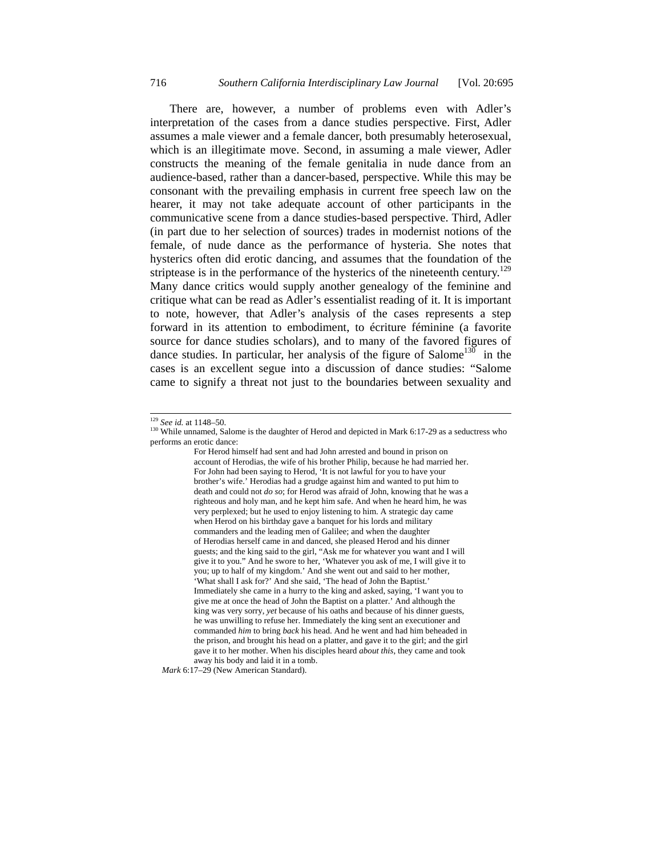There are, however, a number of problems even with Adler's interpretation of the cases from a dance studies perspective. First, Adler assumes a male viewer and a female dancer, both presumably heterosexual, which is an illegitimate move. Second, in assuming a male viewer, Adler constructs the meaning of the female genitalia in nude dance from an audience-based, rather than a dancer-based, perspective. While this may be consonant with the prevailing emphasis in current free speech law on the hearer, it may not take adequate account of other participants in the communicative scene from a dance studies-based perspective. Third, Adler (in part due to her selection of sources) trades in modernist notions of the female, of nude dance as the performance of hysteria. She notes that hysterics often did erotic dancing, and assumes that the foundation of the striptease is in the performance of the hysterics of the nineteenth century.<sup>129</sup> Many dance critics would supply another genealogy of the feminine and critique what can be read as Adler's essentialist reading of it. It is important to note, however, that Adler's analysis of the cases represents a step forward in its attention to embodiment, to écriture féminine (a favorite source for dance studies scholars), and to many of the favored figures of dance studies. In particular, her analysis of the figure of Salome<sup>130</sup> in the cases is an excellent segue into a discussion of dance studies: "Salome came to signify a threat not just to the boundaries between sexuality and

For Herod himself had sent and had John arrested and bound in prison on account of Herodias, the wife of his brother Philip, because he had married her. For John had been saying to Herod, 'It is not lawful for you to have your brother's wife.' Herodias had a grudge against him and wanted to put him to death and could not *do so*; for Herod was afraid of John, knowing that he was a righteous and holy man, and he kept him safe. And when he heard him, he was very perplexed; but he used to enjoy listening to him. A strategic day came when Herod on his birthday gave a banquet for his lords and military commanders and the leading men of Galilee; and when the daughter of Herodias herself came in and danced, she pleased Herod and his dinner guests; and the king said to the girl, "Ask me for whatever you want and I will give it to you." And he swore to her, 'Whatever you ask of me, I will give it to you; up to half of my kingdom.' And she went out and said to her mother, 'What shall I ask for?' And she said, 'The head of John the Baptist.' Immediately she came in a hurry to the king and asked, saying, 'I want you to give me at once the head of John the Baptist on a platter.' And although the king was very sorry, *yet* because of his oaths and because of his dinner guests, he was unwilling to refuse her. Immediately the king sent an executioner and commanded *him* to bring *back* his head. And he went and had him beheaded in the prison, and brought his head on a platter, and gave it to the girl; and the girl gave it to her mother. When his disciples heard *about this*, they came and took away his body and laid it in a tomb.

 *Mark* 6:17–29 (New American Standard).

<sup>&</sup>lt;sup>129</sup> *See id.* at 1148–50.<br><sup>130</sup> While unnamed, Salome is the daughter of Herod and depicted in Mark 6:17-29 as a seductress who performs an erotic dance: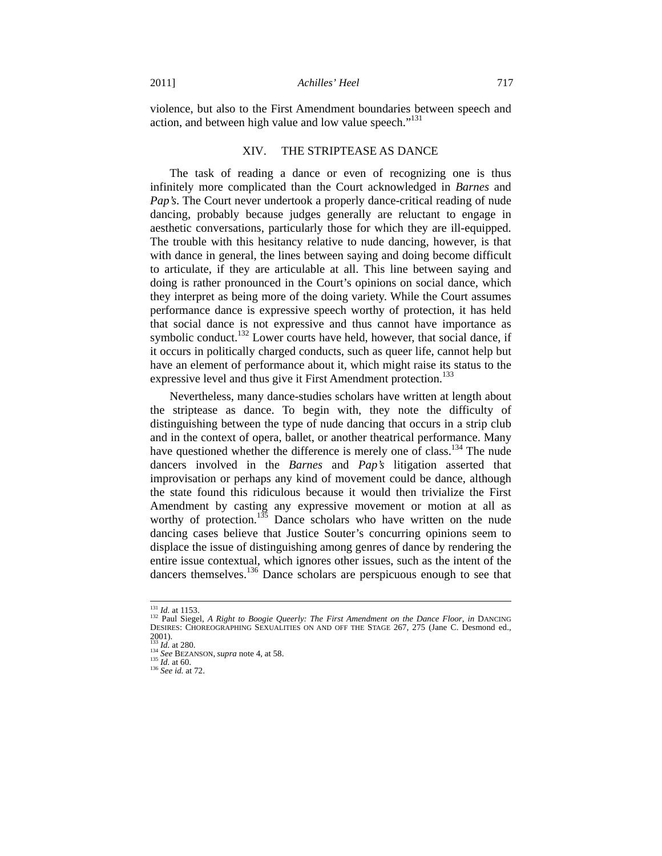violence, but also to the First Amendment boundaries between speech and action, and between high value and low value speech."<sup>131</sup>

#### XIV. THE STRIPTEASE AS DANCE

The task of reading a dance or even of recognizing one is thus infinitely more complicated than the Court acknowledged in *Barnes* and *Pap's*. The Court never undertook a properly dance-critical reading of nude dancing, probably because judges generally are reluctant to engage in aesthetic conversations, particularly those for which they are ill-equipped. The trouble with this hesitancy relative to nude dancing, however, is that with dance in general, the lines between saying and doing become difficult to articulate, if they are articulable at all. This line between saying and doing is rather pronounced in the Court's opinions on social dance, which they interpret as being more of the doing variety. While the Court assumes performance dance is expressive speech worthy of protection, it has held that social dance is not expressive and thus cannot have importance as symbolic conduct.<sup>132</sup> Lower courts have held, however, that social dance, if it occurs in politically charged conducts, such as queer life, cannot help but have an element of performance about it, which might raise its status to the expressive level and thus give it First Amendment protection.<sup>133</sup>

Nevertheless, many dance-studies scholars have written at length about the striptease as dance. To begin with, they note the difficulty of distinguishing between the type of nude dancing that occurs in a strip club and in the context of opera, ballet, or another theatrical performance. Many have questioned whether the difference is merely one of class.<sup>134</sup> The nude dancers involved in the *Barnes* and *Pap's* litigation asserted that improvisation or perhaps any kind of movement could be dance, although the state found this ridiculous because it would then trivialize the First Amendment by casting any expressive movement or motion at all as worthy of protection. $135$  Dance scholars who have written on the nude dancing cases believe that Justice Souter's concurring opinions seem to displace the issue of distinguishing among genres of dance by rendering the entire issue contextual, which ignores other issues, such as the intent of the dancers themselves.<sup>136</sup> Dance scholars are perspicuous enough to see that

<sup>131</sup> *Id.* at 1153. 132 Paul Siegel, *A Right to Boogie Queerly: The First Amendment on the Dance Floor*, *in* DANCING DESIRES: CHOREOGRAPHING SEXUALITIES ON AND OFF THE STAGE 267, 275 (Jane C. Desmond ed., 2001).<br><sup>133</sup> *Id.* at 280.<br><sup>134</sup> *See* BEZANSON, *supra* note 4, at 58.<br><sup>136</sup> *See id.* at 72.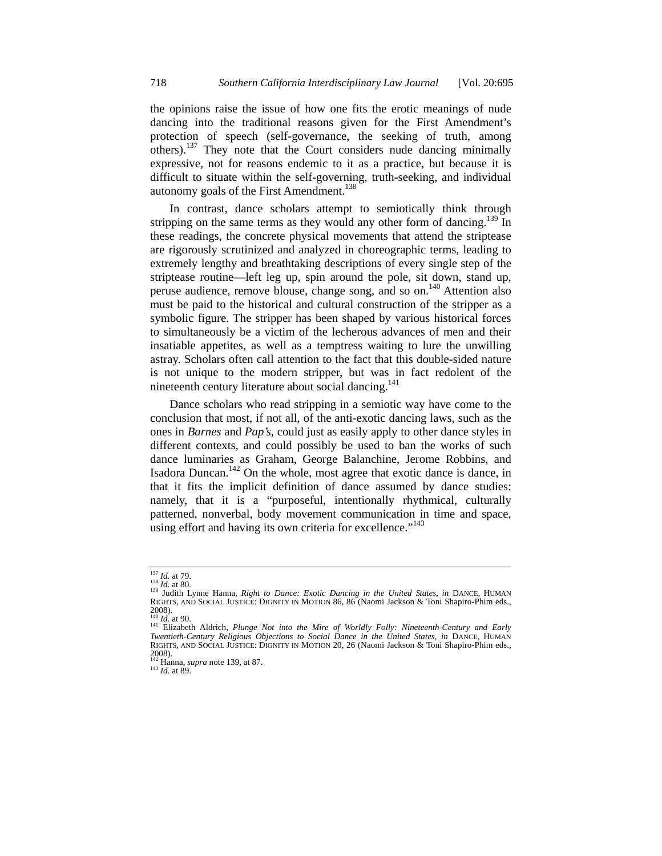the opinions raise the issue of how one fits the erotic meanings of nude dancing into the traditional reasons given for the First Amendment's protection of speech (self-governance, the seeking of truth, among  $\alpha$  others).<sup>137</sup> They note that the Court considers nude dancing minimally expressive, not for reasons endemic to it as a practice, but because it is difficult to situate within the self-governing, truth-seeking, and individual autonomy goals of the First Amendment.<sup>138</sup>

In contrast, dance scholars attempt to semiotically think through stripping on the same terms as they would any other form of dancing.<sup>139</sup> In these readings, the concrete physical movements that attend the striptease are rigorously scrutinized and analyzed in choreographic terms, leading to extremely lengthy and breathtaking descriptions of every single step of the striptease routine—left leg up, spin around the pole, sit down, stand up, peruse audience, remove blouse, change song, and so on.140 Attention also must be paid to the historical and cultural construction of the stripper as a symbolic figure. The stripper has been shaped by various historical forces to simultaneously be a victim of the lecherous advances of men and their insatiable appetites, as well as a temptress waiting to lure the unwilling astray. Scholars often call attention to the fact that this double-sided nature is not unique to the modern stripper, but was in fact redolent of the nineteenth century literature about social dancing.<sup>141</sup>

Dance scholars who read stripping in a semiotic way have come to the conclusion that most, if not all, of the anti-exotic dancing laws, such as the ones in *Barnes* and *Pap's*, could just as easily apply to other dance styles in different contexts, and could possibly be used to ban the works of such dance luminaries as Graham, George Balanchine, Jerome Robbins, and Isadora Duncan.<sup>142</sup> On the whole, most agree that exotic dance is dance, in that it fits the implicit definition of dance assumed by dance studies: namely, that it is a "purposeful, intentionally rhythmical, culturally patterned, nonverbal, body movement communication in time and space, using effort and having its own criteria for excellence."<sup>143</sup>

<sup>1&</sup>lt;sup>37</sup> *Id.* at 79.<br><sup>138</sup> *Id.* at 80.<br><sup>139</sup> Judith Lynne Hanna, *Right to Dance: Exotic Dancing in the United States, in* DANCE, HUMAN RIGHTS, AND SOCIAL JUSTICE: DIGNITY IN MOTION 86, 86 (Naomi Jackson & Toni Shapiro-Phim eds., 2008).<br><sup>140</sup> Id. at 90.<br><sup>141</sup> Elizabeth Aldrich, *Plunge Not into the Mire of Worldly Folly: Nineteenth-Century and Early* 

*Twentieth-Century Religious Objections to Social Dance in the United States*, *in* DANCE, HUMAN RIGHTS, AND SOCIAL JUSTICE: DIGNITY IN MOTION 20, 26 (Naomi Jackson & Toni Shapiro-Phim eds., 2008). 142 Hanna, *supra* note 139, at 87. 143 *Id.* at 89.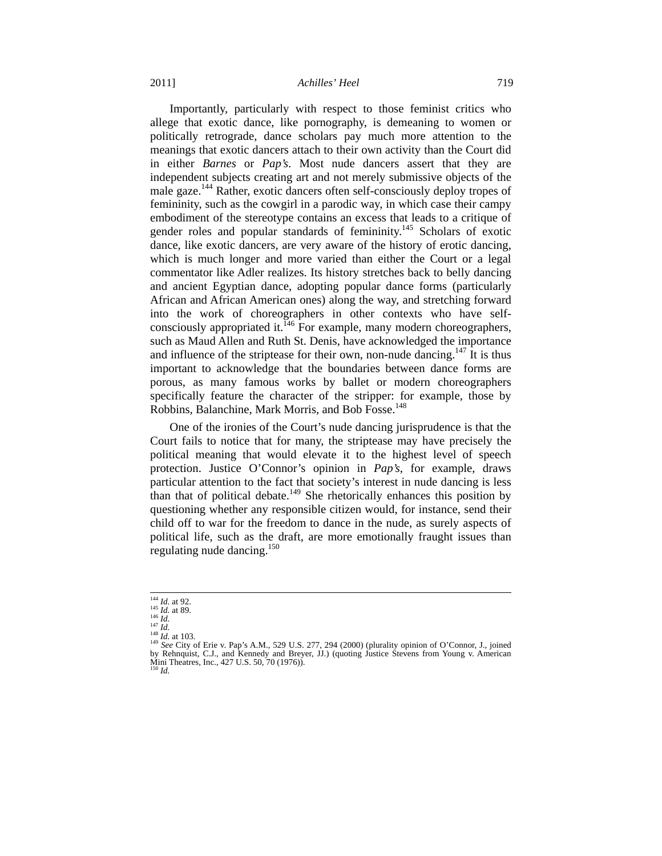## 2011] *Achilles' Heel* 719

Importantly, particularly with respect to those feminist critics who allege that exotic dance, like pornography, is demeaning to women or politically retrograde, dance scholars pay much more attention to the meanings that exotic dancers attach to their own activity than the Court did in either *Barnes* or *Pap's*. Most nude dancers assert that they are independent subjects creating art and not merely submissive objects of the male gaze.<sup>144</sup> Rather, exotic dancers often self-consciously deploy tropes of femininity, such as the cowgirl in a parodic way, in which case their campy embodiment of the stereotype contains an excess that leads to a critique of gender roles and popular standards of femininity.<sup>145</sup> Scholars of exotic dance, like exotic dancers, are very aware of the history of erotic dancing, which is much longer and more varied than either the Court or a legal commentator like Adler realizes. Its history stretches back to belly dancing and ancient Egyptian dance, adopting popular dance forms (particularly African and African American ones) along the way, and stretching forward into the work of choreographers in other contexts who have selfconsciously appropriated it.<sup>146</sup> For example, many modern choreographers, such as Maud Allen and Ruth St. Denis, have acknowledged the importance and influence of the striptease for their own, non-nude dancing.<sup>147</sup> It is thus important to acknowledge that the boundaries between dance forms are porous, as many famous works by ballet or modern choreographers specifically feature the character of the stripper: for example, those by Robbins, Balanchine, Mark Morris, and Bob Fosse.<sup>148</sup>

One of the ironies of the Court's nude dancing jurisprudence is that the Court fails to notice that for many, the striptease may have precisely the political meaning that would elevate it to the highest level of speech protection. Justice O'Connor's opinion in *Pap's*, for example, draws particular attention to the fact that society's interest in nude dancing is less than that of political debate.<sup>149</sup> She rhetorically enhances this position by questioning whether any responsible citizen would, for instance, send their child off to war for the freedom to dance in the nude, as surely aspects of political life, such as the draft, are more emotionally fraught issues than regulating nude dancing.<sup>150</sup>

<sup>&</sup>lt;sup>144</sup> *Id.* at 92.<br><sup>145</sup> *Id.* at 89.<br><sup>147</sup> *Id.*<br><sup>149</sup> *See* City of Erie v. Pap's A.M., 529 U.S. 277, 294 (2000) (plurality opinion of O'Connor, J., joined<br><sup>149</sup> *See* City of Erie v. Pap's A.M., 529 U.S. 277, 294 (2000) by Rehnquist, C.J., and Kennedy and Breyer, JJ.) (quoting Justice Stevens from Young v. American Mini Theatres, Inc., 427 U.S. 50, 70 (1976)). <sup>150</sup> *Id.*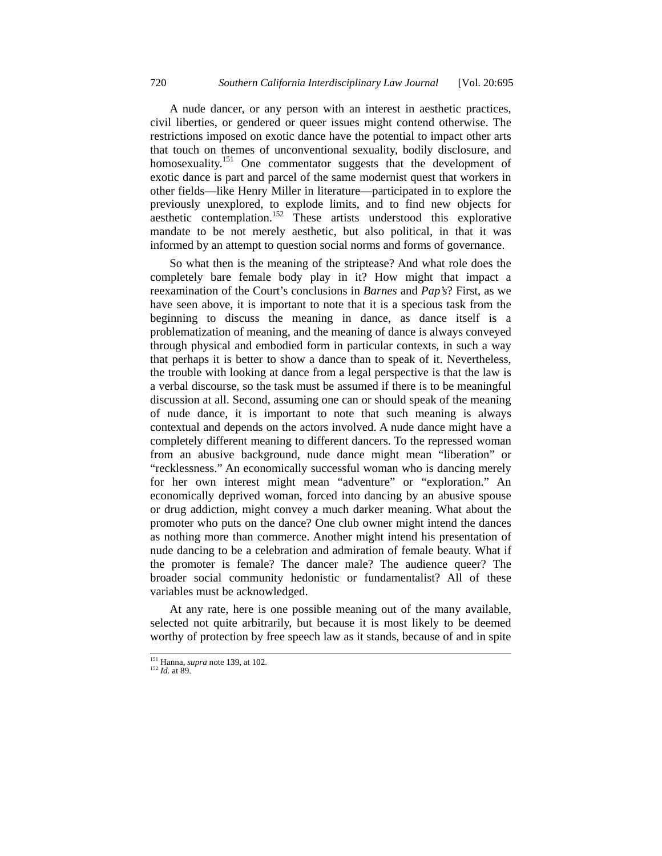A nude dancer, or any person with an interest in aesthetic practices, civil liberties, or gendered or queer issues might contend otherwise. The restrictions imposed on exotic dance have the potential to impact other arts that touch on themes of unconventional sexuality, bodily disclosure, and homosexuality.<sup>151</sup> One commentator suggests that the development of exotic dance is part and parcel of the same modernist quest that workers in other fields—like Henry Miller in literature—participated in to explore the previously unexplored, to explode limits, and to find new objects for  $\frac{152}{\text{a} \cdot \text{c}}$  contemplation.<sup>152</sup> These artists understood this explorative mandate to be not merely aesthetic, but also political, in that it was informed by an attempt to question social norms and forms of governance.

So what then is the meaning of the striptease? And what role does the completely bare female body play in it? How might that impact a reexamination of the Court's conclusions in *Barnes* and *Pap's*? First, as we have seen above, it is important to note that it is a specious task from the beginning to discuss the meaning in dance, as dance itself is a problematization of meaning, and the meaning of dance is always conveyed through physical and embodied form in particular contexts, in such a way that perhaps it is better to show a dance than to speak of it. Nevertheless, the trouble with looking at dance from a legal perspective is that the law is a verbal discourse, so the task must be assumed if there is to be meaningful discussion at all. Second, assuming one can or should speak of the meaning of nude dance, it is important to note that such meaning is always contextual and depends on the actors involved. A nude dance might have a completely different meaning to different dancers. To the repressed woman from an abusive background, nude dance might mean "liberation" or "recklessness." An economically successful woman who is dancing merely for her own interest might mean "adventure" or "exploration." An economically deprived woman, forced into dancing by an abusive spouse or drug addiction, might convey a much darker meaning. What about the promoter who puts on the dance? One club owner might intend the dances as nothing more than commerce. Another might intend his presentation of nude dancing to be a celebration and admiration of female beauty. What if the promoter is female? The dancer male? The audience queer? The broader social community hedonistic or fundamentalist? All of these variables must be acknowledged.

At any rate, here is one possible meaning out of the many available, selected not quite arbitrarily, but because it is most likely to be deemed worthy of protection by free speech law as it stands, because of and in spite

 <sup>151</sup> Hanna, *supra* note 139, at 102. 152 *Id.* at 89.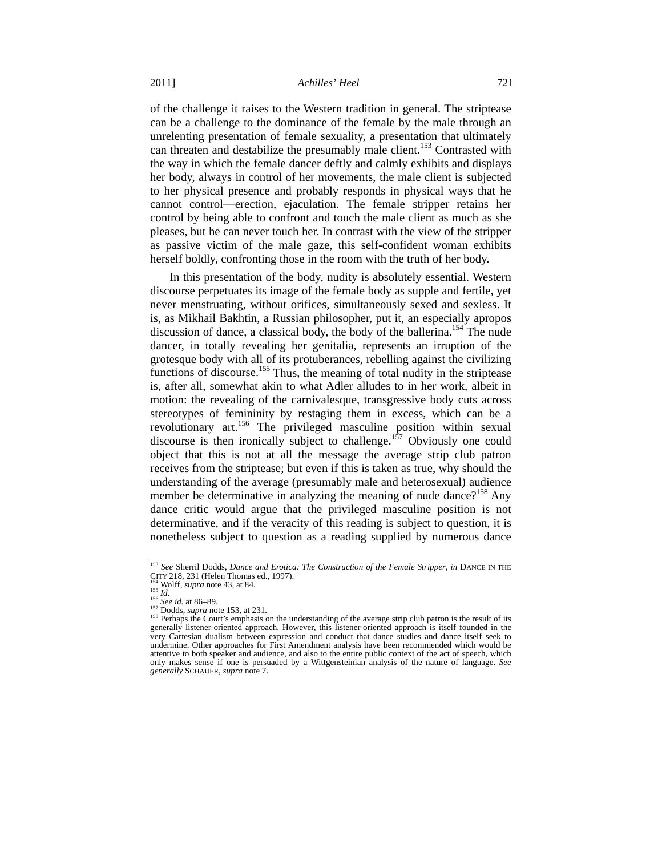of the challenge it raises to the Western tradition in general. The striptease can be a challenge to the dominance of the female by the male through an unrelenting presentation of female sexuality, a presentation that ultimately can threaten and destabilize the presumably male client.<sup>153</sup> Contrasted with the way in which the female dancer deftly and calmly exhibits and displays her body, always in control of her movements, the male client is subjected to her physical presence and probably responds in physical ways that he cannot control—erection, ejaculation. The female stripper retains her control by being able to confront and touch the male client as much as she pleases, but he can never touch her. In contrast with the view of the stripper as passive victim of the male gaze, this self-confident woman exhibits herself boldly, confronting those in the room with the truth of her body.

In this presentation of the body, nudity is absolutely essential. Western discourse perpetuates its image of the female body as supple and fertile, yet never menstruating, without orifices, simultaneously sexed and sexless. It is, as Mikhail Bakhtin, a Russian philosopher, put it, an especially apropos discussion of dance, a classical body, the body of the ballerina.<sup>154</sup> The nude dancer, in totally revealing her genitalia, represents an irruption of the grotesque body with all of its protuberances, rebelling against the civilizing functions of discourse.<sup>155</sup> Thus, the meaning of total nudity in the striptease is, after all, somewhat akin to what Adler alludes to in her work, albeit in motion: the revealing of the carnivalesque, transgressive body cuts across stereotypes of femininity by restaging them in excess, which can be a revolutionary art.<sup>156</sup> The privileged masculine position within sexual discourse is then ironically subject to challenge.<sup>157</sup> Obviously one could object that this is not at all the message the average strip club patron receives from the striptease; but even if this is taken as true, why should the understanding of the average (presumably male and heterosexual) audience member be determinative in analyzing the meaning of nude dance?<sup>158</sup> Any dance critic would argue that the privileged masculine position is not determinative, and if the veracity of this reading is subject to question, it is nonetheless subject to question as a reading supplied by numerous dance

<sup>&</sup>lt;sup>153</sup> *See Sherril Dodds, Dance and Erotica: The Construction of the Female Stripper, in DANCE IN THE CITY 218, 231 (Helen Thomas ed., 1997).*<br><sup>154</sup> Wolff, *supra* note 43, at 84.

<sup>&</sup>lt;sup>155</sup> *Id.*<br>
<sup>156</sup> *See id.* at 86–89.<br>
<sup>156</sup> *See id.* at 86–89.<br>
<sup>157</sup> Dodds, *supra* note 153, at 231.<br>
<sup>158</sup> Perhaps the Court's emphasis on the understanding of the average strip club patron is the result of its generally listener-oriented approach. However, this listener-oriented approach is itself founded in the very Cartesian dualism between expression and conduct that dance studies and dance itself seek to undermine. Other approaches for First Amendment analysis have been recommended which would be attentive to both speaker and audience, and also to the entire public context of the act of speech, which only makes sense if one is persuaded by a Wittgensteinian analysis of the nature of language. *See generally* SCHAUER, *supra* note 7.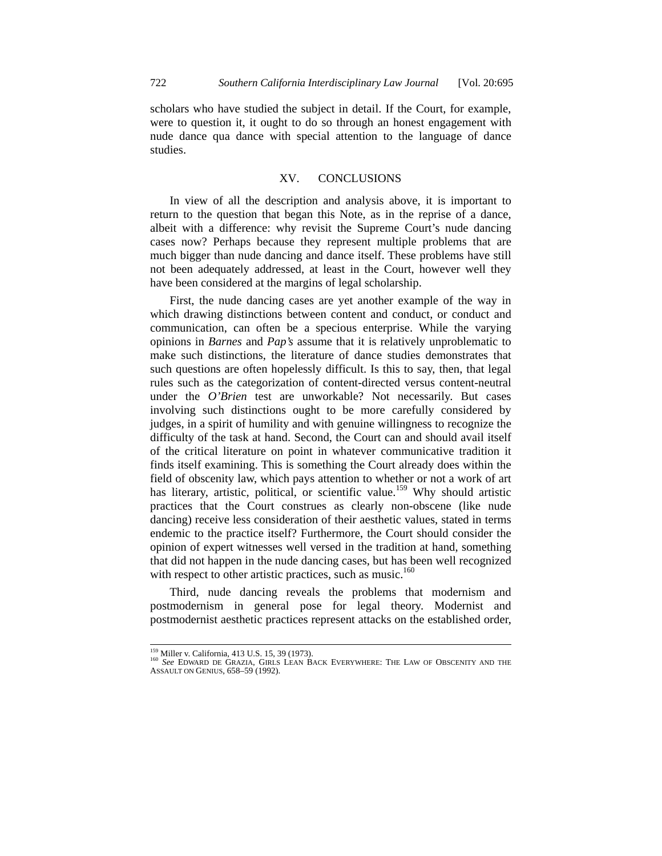scholars who have studied the subject in detail. If the Court, for example, were to question it, it ought to do so through an honest engagement with nude dance qua dance with special attention to the language of dance studies.

# XV. CONCLUSIONS

In view of all the description and analysis above, it is important to return to the question that began this Note, as in the reprise of a dance, albeit with a difference: why revisit the Supreme Court's nude dancing cases now? Perhaps because they represent multiple problems that are much bigger than nude dancing and dance itself. These problems have still not been adequately addressed, at least in the Court, however well they have been considered at the margins of legal scholarship.

First, the nude dancing cases are yet another example of the way in which drawing distinctions between content and conduct, or conduct and communication, can often be a specious enterprise. While the varying opinions in *Barnes* and *Pap's* assume that it is relatively unproblematic to make such distinctions, the literature of dance studies demonstrates that such questions are often hopelessly difficult. Is this to say, then, that legal rules such as the categorization of content-directed versus content-neutral under the *O'Brien* test are unworkable? Not necessarily. But cases involving such distinctions ought to be more carefully considered by judges, in a spirit of humility and with genuine willingness to recognize the difficulty of the task at hand. Second, the Court can and should avail itself of the critical literature on point in whatever communicative tradition it finds itself examining. This is something the Court already does within the field of obscenity law, which pays attention to whether or not a work of art has literary, artistic, political, or scientific value.<sup>159</sup> Why should artistic practices that the Court construes as clearly non-obscene (like nude dancing) receive less consideration of their aesthetic values, stated in terms endemic to the practice itself? Furthermore, the Court should consider the opinion of expert witnesses well versed in the tradition at hand, something that did not happen in the nude dancing cases, but has been well recognized with respect to other artistic practices, such as music.<sup>160</sup>

Third, nude dancing reveals the problems that modernism and postmodernism in general pose for legal theory. Modernist and postmodernist aesthetic practices represent attacks on the established order,

<sup>&</sup>lt;sup>159</sup> Miller v. California, 413 U.S. 15, 39 (1973).<br><sup>160</sup> *See* EDWARD DE GRAZIA, GIRLS LEAN BACK EVERYWHERE: THE LAW OF OBSCENITY AND THE ASSAULT ON GENIUS, 658–59 (1992).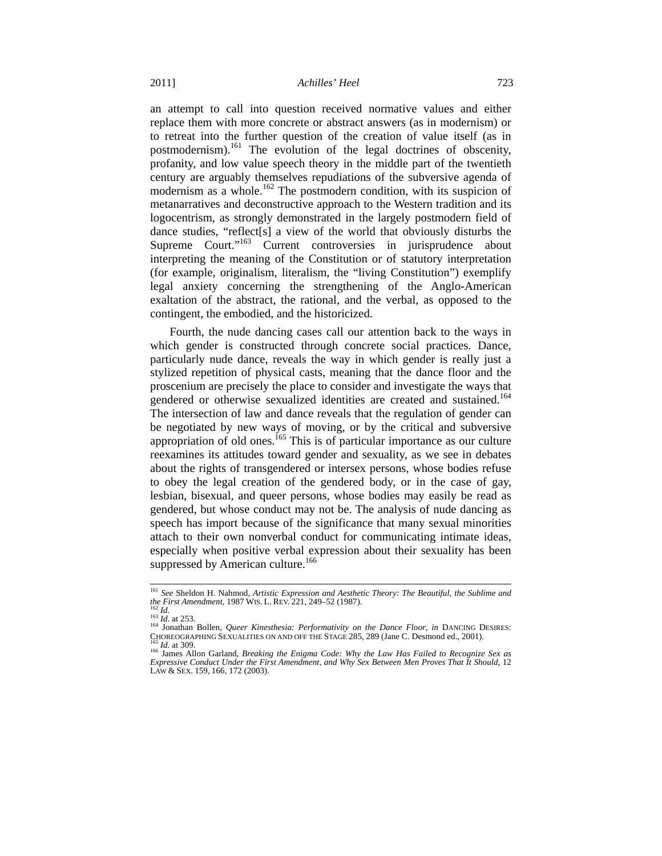an attempt to call into question received normative values and either replace them with more concrete or abstract answers (as in modernism) or to retreat into the further question of the creation of value itself (as in postmodernism).161 The evolution of the legal doctrines of obscenity, profanity, and low value speech theory in the middle part of the twentieth century are arguably themselves repudiations of the subversive agenda of modernism as a whole.<sup>162</sup> The postmodern condition, with its suspicion of metanarratives and deconstructive approach to the Western tradition and its logocentrism, as strongly demonstrated in the largely postmodern field of dance studies, "reflect[s] a view of the world that obviously disturbs the Supreme Court."<sup>163</sup> Current controversies in jurisprudence about interpreting the meaning of the Constitution or of statutory interpretation (for example, originalism, literalism, the "living Constitution") exemplify legal anxiety concerning the strengthening of the Anglo-American exaltation of the abstract, the rational, and the verbal, as opposed to the contingent, the embodied, and the historicized.

Fourth, the nude dancing cases call our attention back to the ways in which gender is constructed through concrete social practices. Dance, particularly nude dance, reveals the way in which gender is really just a stylized repetition of physical casts, meaning that the dance floor and the proscenium are precisely the place to consider and investigate the ways that gendered or otherwise sexualized identities are created and sustained.<sup>164</sup> The intersection of law and dance reveals that the regulation of gender can be negotiated by new ways of moving, or by the critical and subversive appropriation of old ones.<sup>165</sup> This is of particular importance as our culture reexamines its attitudes toward gender and sexuality, as we see in debates about the rights of transgendered or intersex persons, whose bodies refuse to obey the legal creation of the gendered body, or in the case of gay, lesbian, bisexual, and queer persons, whose bodies may easily be read as gendered, but whose conduct may not be. The analysis of nude dancing as speech has import because of the significance that many sexual minorities attach to their own nonverbal conduct for communicating intimate ideas, especially when positive verbal expression about their sexuality has been suppressed by American culture.<sup>166</sup>

<sup>&</sup>lt;sup>161</sup> *See Sheldon H. Nahmod, Artistic Expression and Aesthetic Theory: The Beautiful, the Sublime and the First Amendment, 1987 WIS. L. REV. 221, 249–52 (1987). the First Amendment*, 1987 WIS. L. REV. 221, 249–52 (1987).<br><sup>162</sup> *Id.* 162 *Id.* at 253.<br><sup>164</sup> Jonathan Bollen, *Queer Kinesthesia: Performativity on the Dance Floor, in DANCING DESIRES:* 

CHOREOGRAPHING SEXUALITIES ON AND OFF THE STAGE 285, 289 (Jane C. Desmond ed., 2001).<br><sup>165</sup> *Id.* at 309.<br><sup>166</sup> James Allon Garland, *Breaking the Enigma Code: Why the Law Has Failed to Recognize Sex as* 

<sup>&</sup>lt;sup>166</sup> James Allon Garland, *Breaking the Enigma Code: Why the Law Has Failed to Recognize Sex as*<br>*Expressive Conduct Under the First Amendment, and Why Sex Between Men Proves That It Should*, 12 LAW & SEX. 159, 166, 172 (2003).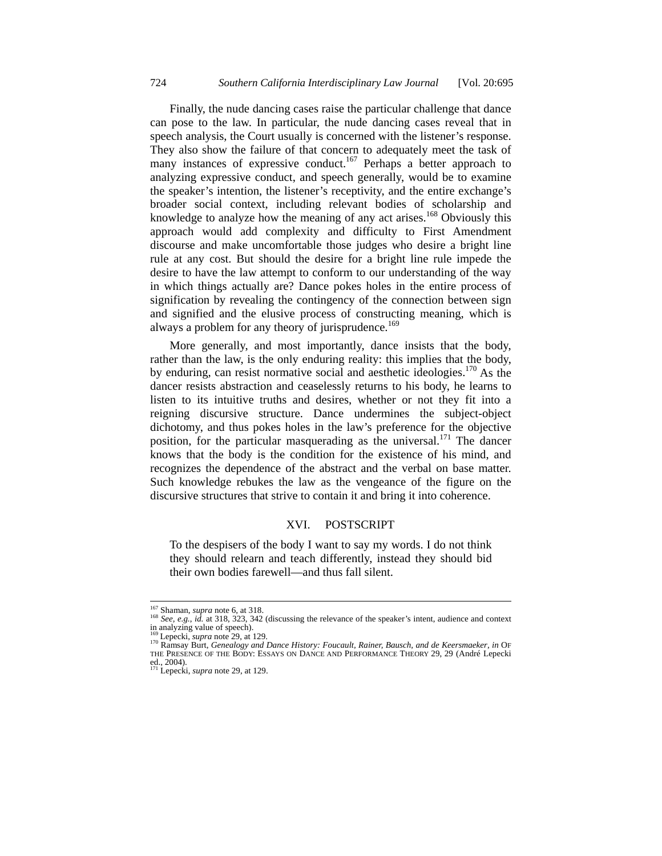Finally, the nude dancing cases raise the particular challenge that dance can pose to the law. In particular, the nude dancing cases reveal that in speech analysis, the Court usually is concerned with the listener's response. They also show the failure of that concern to adequately meet the task of many instances of expressive conduct.<sup>167</sup> Perhaps a better approach to analyzing expressive conduct, and speech generally, would be to examine the speaker's intention, the listener's receptivity, and the entire exchange's broader social context, including relevant bodies of scholarship and knowledge to analyze how the meaning of any act arises.<sup>168</sup> Obviously this approach would add complexity and difficulty to First Amendment discourse and make uncomfortable those judges who desire a bright line rule at any cost. But should the desire for a bright line rule impede the desire to have the law attempt to conform to our understanding of the way in which things actually are? Dance pokes holes in the entire process of signification by revealing the contingency of the connection between sign and signified and the elusive process of constructing meaning, which is always a problem for any theory of jurisprudence.<sup>169</sup>

More generally, and most importantly, dance insists that the body, rather than the law, is the only enduring reality: this implies that the body, by enduring, can resist normative social and aesthetic ideologies.<sup>170</sup> As the dancer resists abstraction and ceaselessly returns to his body, he learns to listen to its intuitive truths and desires, whether or not they fit into a reigning discursive structure. Dance undermines the subject-object dichotomy, and thus pokes holes in the law's preference for the objective position, for the particular masquerading as the universal.<sup>171</sup> The dancer knows that the body is the condition for the existence of his mind, and recognizes the dependence of the abstract and the verbal on base matter. Such knowledge rebukes the law as the vengeance of the figure on the discursive structures that strive to contain it and bring it into coherence.

#### XVI. POSTSCRIPT

To the despisers of the body I want to say my words. I do not think they should relearn and teach differently, instead they should bid their own bodies farewell—and thus fall silent.

<sup>&</sup>lt;sup>167</sup> Shaman, *supra* note 6, at 318.<br><sup>168</sup> *See, e.g., id.* at 318, 323, 342 (discussing the relevance of the speaker's intent, audience and context in analyzing value of speech).<br> $^{169}_{169}$  Lepecki, *supra* note 29, at 129.

<sup>169</sup> Lepecki, *supra* note 29, at 129. 170 Ramsay Burt, *Genealogy and Dance History: Foucault, Rainer, Bausch, and de Keersmaeker*, *in* OF THE PRESENCE OF THE BODY: ESSAYS ON DANCE AND PERFORMANCE THEORY 29, 29 (André Lepecki ed., 2004).<br><sup>171</sup> Lepecki, *supra* note 29, at 129.